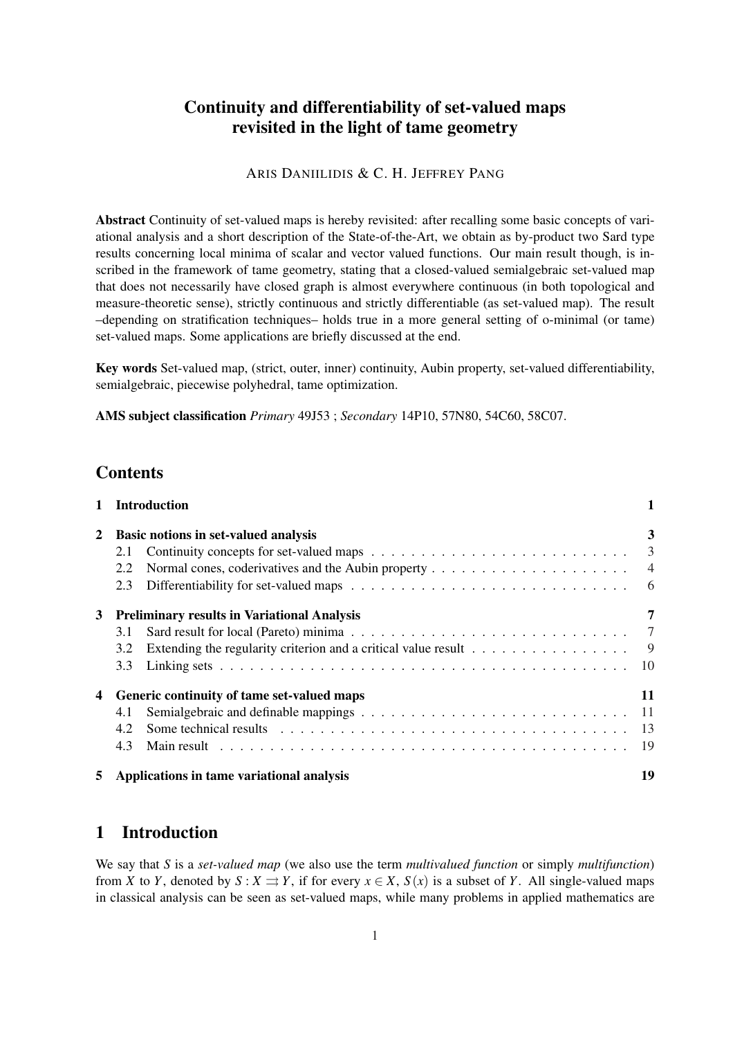# Continuity and differentiability of set-valued maps revisited in the light of tame geometry

## ARIS DANIILIDIS & C. H. JEFFREY PANG

Abstract Continuity of set-valued maps is hereby revisited: after recalling some basic concepts of variational analysis and a short description of the State-of-the-Art, we obtain as by-product two Sard type results concerning local minima of scalar and vector valued functions. Our main result though, is inscribed in the framework of tame geometry, stating that a closed-valued semialgebraic set-valued map that does not necessarily have closed graph is almost everywhere continuous (in both topological and measure-theoretic sense), strictly continuous and strictly differentiable (as set-valued map). The result –depending on stratification techniques– holds true in a more general setting of o-minimal (or tame) set-valued maps. Some applications are briefly discussed at the end.

Key words Set-valued map, (strict, outer, inner) continuity, Aubin property, set-valued differentiability, semialgebraic, piecewise polyhedral, tame optimization.

AMS subject classification *Primary* 49J53 ; *Secondary* 14P10, 57N80, 54C60, 58C07.

# **Contents**

|   | 1 Introduction                                                                                        | 1              |
|---|-------------------------------------------------------------------------------------------------------|----------------|
| 2 | Basic notions in set-valued analysis                                                                  | 3              |
|   | 2.1                                                                                                   |                |
|   | 2.2                                                                                                   |                |
|   | 2.3                                                                                                   |                |
| 3 | <b>Preliminary results in Variational Analysis</b>                                                    | $\overline{7}$ |
|   | 3.1                                                                                                   |                |
|   | Extending the regularity criterion and a critical value result $\dots \dots \dots \dots \dots$<br>3.2 |                |
|   | 3.3                                                                                                   |                |
|   | Generic continuity of tame set-valued maps                                                            | 11             |
|   | 4.1                                                                                                   |                |
|   | 4.2                                                                                                   |                |
|   | 4.3                                                                                                   |                |
| 5 | Applications in tame variational analysis                                                             | 19             |

# 1 Introduction

We say that *S* is a *set-valued map* (we also use the term *multivalued function* or simply *multifunction*) from *X* to *Y*, denoted by  $S: X \rightrightarrows Y$ , if for every  $x \in X$ ,  $S(x)$  is a subset of *Y*. All single-valued maps in classical analysis can be seen as set-valued maps, while many problems in applied mathematics are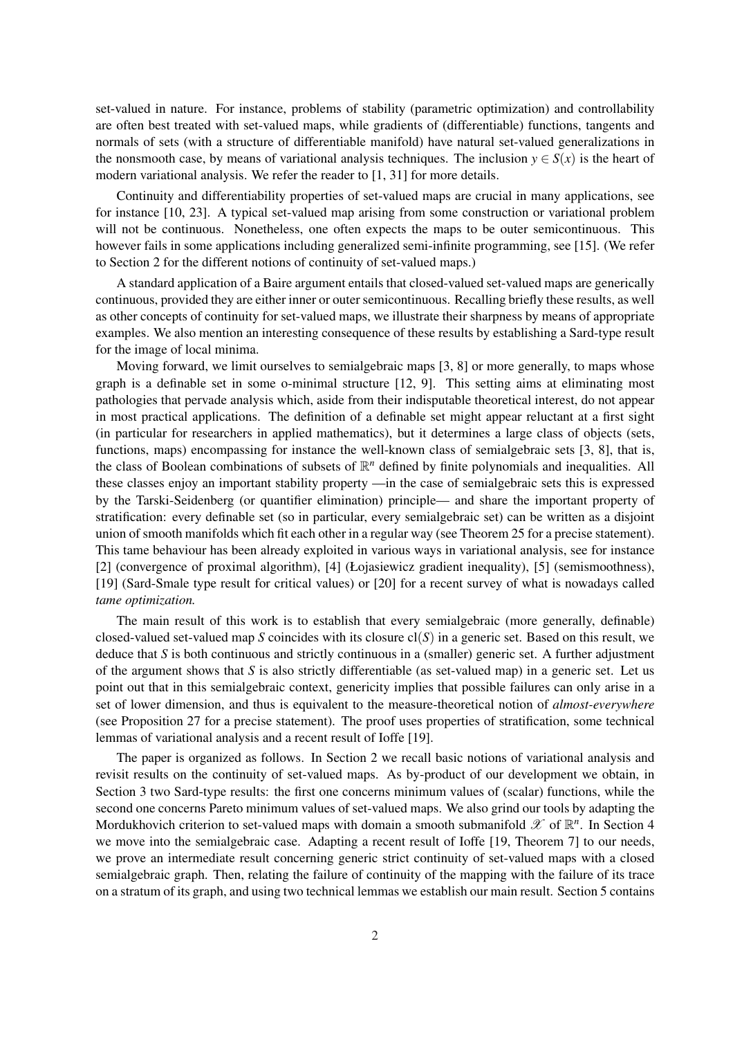set-valued in nature. For instance, problems of stability (parametric optimization) and controllability are often best treated with set-valued maps, while gradients of (differentiable) functions, tangents and normals of sets (with a structure of differentiable manifold) have natural set-valued generalizations in the nonsmooth case, by means of variational analysis techniques. The inclusion  $y \in S(x)$  is the heart of modern variational analysis. We refer the reader to [1, 31] for more details.

Continuity and differentiability properties of set-valued maps are crucial in many applications, see for instance [10, 23]. A typical set-valued map arising from some construction or variational problem will not be continuous. Nonetheless, one often expects the maps to be outer semicontinuous. This however fails in some applications including generalized semi-infinite programming, see [15]. (We refer to Section 2 for the different notions of continuity of set-valued maps.)

A standard application of a Baire argument entails that closed-valued set-valued maps are generically continuous, provided they are either inner or outer semicontinuous. Recalling briefly these results, as well as other concepts of continuity for set-valued maps, we illustrate their sharpness by means of appropriate examples. We also mention an interesting consequence of these results by establishing a Sard-type result for the image of local minima.

Moving forward, we limit ourselves to semialgebraic maps [3, 8] or more generally, to maps whose graph is a definable set in some o-minimal structure [12, 9]. This setting aims at eliminating most pathologies that pervade analysis which, aside from their indisputable theoretical interest, do not appear in most practical applications. The definition of a definable set might appear reluctant at a first sight (in particular for researchers in applied mathematics), but it determines a large class of objects (sets, functions, maps) encompassing for instance the well-known class of semialgebraic sets [3, 8], that is, the class of Boolean combinations of subsets of  $\mathbb{R}^n$  defined by finite polynomials and inequalities. All these classes enjoy an important stability property —in the case of semialgebraic sets this is expressed by the Tarski-Seidenberg (or quantifier elimination) principle— and share the important property of stratification: every definable set (so in particular, every semialgebraic set) can be written as a disjoint union of smooth manifolds which fit each other in a regular way (see Theorem 25 for a precise statement). This tame behaviour has been already exploited in various ways in variational analysis, see for instance [2] (convergence of proximal algorithm), [4] (Łojasiewicz gradient inequality), [5] (semismoothness), [19] (Sard-Smale type result for critical values) or [20] for a recent survey of what is nowadays called *tame optimization.*

The main result of this work is to establish that every semialgebraic (more generally, definable) closed-valued set-valued map *S* coincides with its closure cl(*S*) in a generic set. Based on this result, we deduce that *S* is both continuous and strictly continuous in a (smaller) generic set. A further adjustment of the argument shows that *S* is also strictly differentiable (as set-valued map) in a generic set. Let us point out that in this semialgebraic context, genericity implies that possible failures can only arise in a set of lower dimension, and thus is equivalent to the measure-theoretical notion of *almost-everywhere* (see Proposition 27 for a precise statement). The proof uses properties of stratification, some technical lemmas of variational analysis and a recent result of Ioffe [19].

The paper is organized as follows. In Section 2 we recall basic notions of variational analysis and revisit results on the continuity of set-valued maps. As by-product of our development we obtain, in Section 3 two Sard-type results: the first one concerns minimum values of (scalar) functions, while the second one concerns Pareto minimum values of set-valued maps. We also grind our tools by adapting the Mordukhovich criterion to set-valued maps with domain a smooth submanifold  $\mathscr X$  of  $\mathbb R^n$ . In Section 4 we move into the semialgebraic case. Adapting a recent result of Ioffe [19, Theorem 7] to our needs, we prove an intermediate result concerning generic strict continuity of set-valued maps with a closed semialgebraic graph. Then, relating the failure of continuity of the mapping with the failure of its trace on a stratum of its graph, and using two technical lemmas we establish our main result. Section 5 contains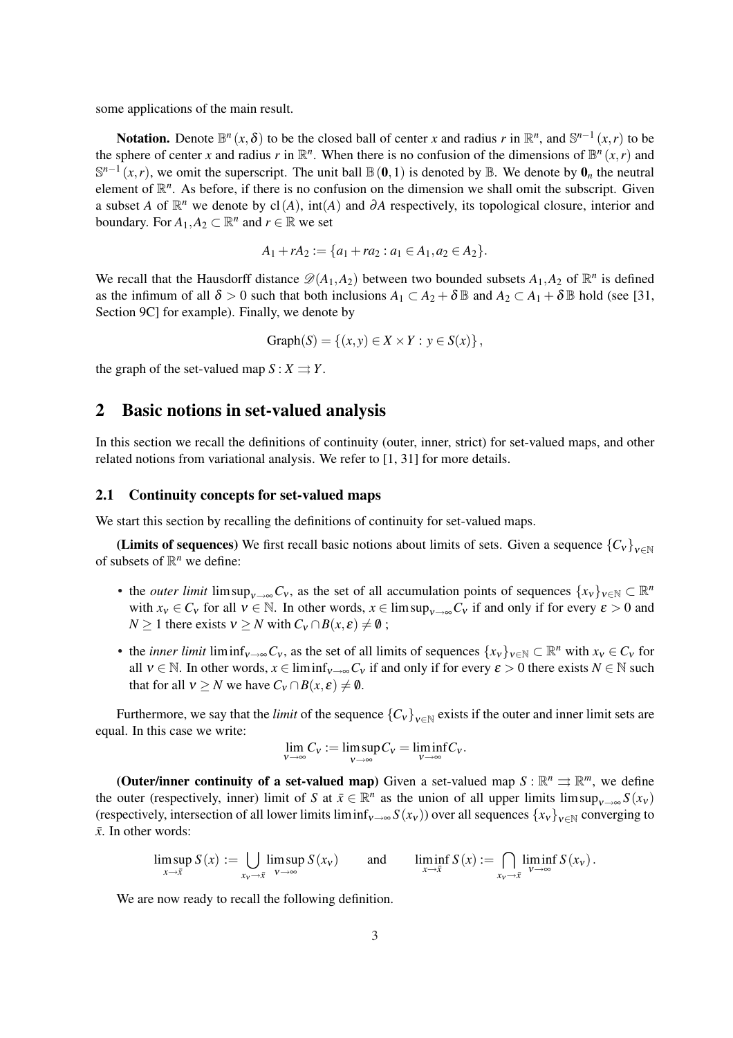some applications of the main result.

**Notation.** Denote  $\mathbb{B}^n(x,\delta)$  to be the closed ball of center *x* and radius *r* in  $\mathbb{R}^n$ , and  $\mathbb{S}^{n-1}(x,r)$  to be the sphere of center *x* and radius *r* in  $\mathbb{R}^n$ . When there is no confusion of the dimensions of  $\mathbb{B}^n(x,r)$  and  $\mathbb{S}^{n-1}(x,r)$ , we omit the superscript. The unit ball  $\mathbb{B}(0,1)$  is denoted by  $\mathbb{B}$ . We denote by  $\mathbf{0}_n$  the neutral element of  $\mathbb{R}^n$ . As before, if there is no confusion on the dimension we shall omit the subscript. Given a subset *A* of  $\mathbb{R}^n$  we denote by cl(*A*), int(*A*) and ∂*A* respectively, its topological closure, interior and boundary. For  $A_1, A_2 \subset \mathbb{R}^n$  and  $r \in \mathbb{R}$  we set

$$
A_1 + rA_2 := \{a_1 + ra_2 : a_1 \in A_1, a_2 \in A_2\}.
$$

We recall that the Hausdorff distance  $\mathscr{D}(A_1, A_2)$  between two bounded subsets  $A_1, A_2$  of  $\mathbb{R}^n$  is defined as the infimum of all  $\delta > 0$  such that both inclusions  $A_1 \subset A_2 + \delta \mathbb{B}$  and  $A_2 \subset A_1 + \delta \mathbb{B}$  hold (see [31, Section 9C] for example). Finally, we denote by

$$
Graph(S) = \{(x, y) \in X \times Y : y \in S(x)\},\
$$

the graph of the set-valued map  $S: X \rightrightarrows Y$ .

# 2 Basic notions in set-valued analysis

In this section we recall the definitions of continuity (outer, inner, strict) for set-valued maps, and other related notions from variational analysis. We refer to [1, 31] for more details.

#### 2.1 Continuity concepts for set-valued maps

We start this section by recalling the definitions of continuity for set-valued maps.

(Limits of sequences) We first recall basic notions about limits of sets. Given a sequence  ${C_V}_{V\in\mathbb{N}}$ of subsets of  $\mathbb{R}^n$  we define:

- the *outer limit* limsup<sub> $v \to \infty$ </sub> *C*<sub>v</sub>, as the set of all accumulation points of sequences  $\{x_v\}_{v \in \mathbb{N}} \subset \mathbb{R}^n$ with  $x_v \in C_v$  for all  $v \in \mathbb{N}$ . In other words,  $x \in \limsup_{v \to \infty} C_v$  if and only if for every  $\varepsilon > 0$  and *N*  $\geq$  1 there exists  $v \geq N$  with  $C_v \cap B(x, \varepsilon) \neq \emptyset$ ;
- the *inner limit* liminf<sub>V→∞</sub>  $C_v$ , as the set of all limits of sequences  $\{x_v\}_{v\in\mathbb{N}}\subset\mathbb{R}^n$  with  $x_v\in C_v$  for all  $v \in \mathbb{N}$ . In other words,  $x \in \liminf_{v \to \infty} C_v$  if and only if for every  $\varepsilon > 0$  there exists  $N \in \mathbb{N}$  such that for all  $v \geq N$  we have  $C_v \cap B(x, \varepsilon) \neq \emptyset$ .

Furthermore, we say that the *limit* of the sequence  ${C_v}_{v \in N}$  exists if the outer and inner limit sets are equal. In this case we write:

$$
\lim_{v \to \infty} C_v := \limsup_{v \to \infty} C_v = \liminf_{v \to \infty} C_v.
$$

(Outer/inner continuity of a set-valued map) Given a set-valued map  $S: \mathbb{R}^n \rightrightarrows \mathbb{R}^m$ , we define the outer (respectively, inner) limit of *S* at  $\bar{x} \in \mathbb{R}^n$  as the union of all upper limits limsup<sub> $v \to \infty$ </sub>  $S(x_v)$ (respectively, intersection of all lower limits liminf<sub>v→∞</sub>  $S(x_v)$ ) over all sequences  $\{x_v\}_{v\in\mathbb{N}}$  converging to  $\bar{x}$ . In other words:

$$
\limsup_{x \to \bar{x}} S(x) := \bigcup_{x_V \to \bar{x}} \limsup_{V \to \infty} S(x_V) \quad \text{and} \quad \liminf_{x \to \bar{x}} S(x) := \bigcap_{x_V \to \bar{x}} \liminf_{V \to \infty} S(x_V).
$$

We are now ready to recall the following definition.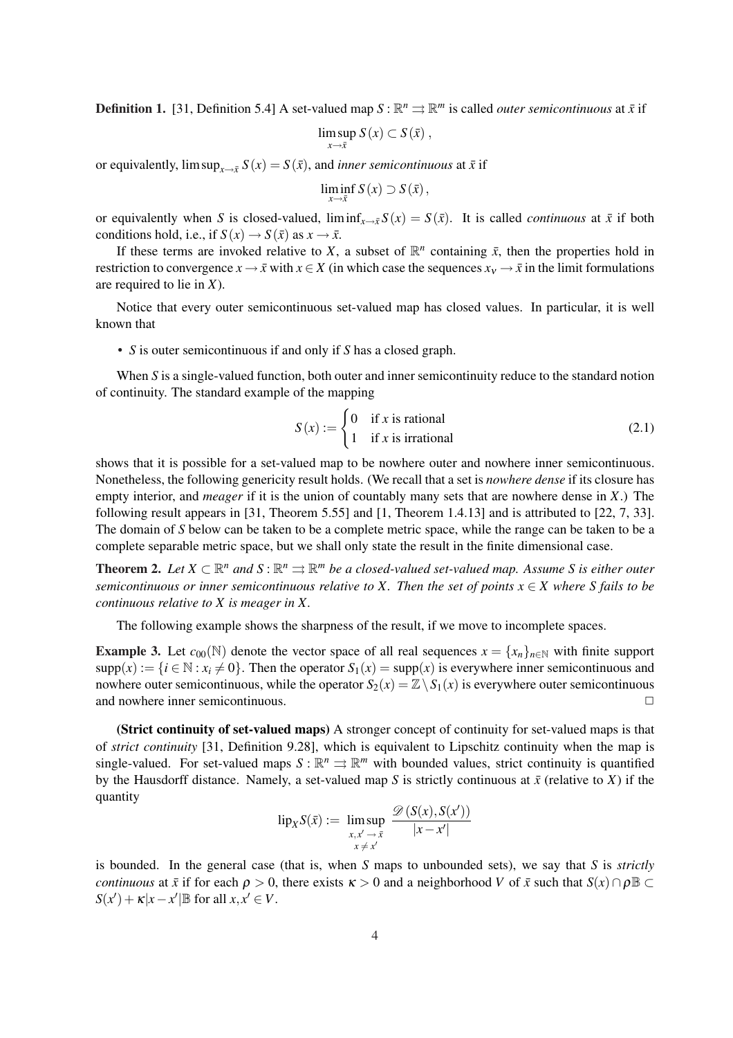**Definition 1.** [31, Definition 5.4] A set-valued map  $S : \mathbb{R}^n \implies \mathbb{R}^m$  is called *outer semicontinuous* at  $\bar{x}$  if

$$
\limsup_{x\to \bar x} S(x) \subset S(\bar x)
$$

or equivalently,  $\limsup_{x\to \bar{x}} S(x) = S(\bar{x})$ , and *inner semicontinuous* at  $\bar{x}$  if

$$
\liminf_{x\to \bar x} S(x) \supset S(\bar x),
$$

or equivalently when *S* is closed-valued,  $\liminf_{x\to \bar{x}}S(x) = S(\bar{x})$ . It is called *continuous* at  $\bar{x}$  if both conditions hold, i.e., if  $S(x) \to S(\bar{x})$  as  $x \to \bar{x}$ .

If these terms are invoked relative to *X*, a subset of  $\mathbb{R}^n$  containing  $\bar{x}$ , then the properties hold in restriction to convergence  $x \to \bar{x}$  with  $x \in X$  (in which case the sequences  $x_v \to \bar{x}$  in the limit formulations are required to lie in *X*).

Notice that every outer semicontinuous set-valued map has closed values. In particular, it is well known that

• *S* is outer semicontinuous if and only if *S* has a closed graph.

When *S* is a single-valued function, both outer and inner semicontinuity reduce to the standard notion of continuity. The standard example of the mapping

$$
S(x) := \begin{cases} 0 & \text{if } x \text{ is rational} \\ 1 & \text{if } x \text{ is irrational} \end{cases}
$$
 (2.1)

shows that it is possible for a set-valued map to be nowhere outer and nowhere inner semicontinuous. Nonetheless, the following genericity result holds. (We recall that a set is *nowhere dense* if its closure has empty interior, and *meager* if it is the union of countably many sets that are nowhere dense in *X*.) The following result appears in [31, Theorem 5.55] and [1, Theorem 1.4.13] and is attributed to [22, 7, 33]. The domain of *S* below can be taken to be a complete metric space, while the range can be taken to be a complete separable metric space, but we shall only state the result in the finite dimensional case.

**Theorem 2.** Let  $X \subset \mathbb{R}^n$  and  $S : \mathbb{R}^n \rightrightarrows \mathbb{R}^m$  be a closed-valued set-valued map. Assume S is either outer *semicontinuous or inner semicontinuous relative to X. Then the set of points*  $x \in X$  *where S fails to be continuous relative to X is meager in X.*

The following example shows the sharpness of the result, if we move to incomplete spaces.

**Example 3.** Let  $c_{00}(\mathbb{N})$  denote the vector space of all real sequences  $x = \{x_n\}_{n\in\mathbb{N}}$  with finite support  $supp(x) := \{i \in \mathbb{N} : x_i \neq 0\}$ . Then the operator  $S_1(x) = supp(x)$  is everywhere inner semicontinuous and nowhere outer semicontinuous, while the operator  $S_2(x) = \mathbb{Z} \setminus S_1(x)$  is everywhere outer semicontinuous and nowhere inner semicontinuous.  $\Box$ 

(Strict continuity of set-valued maps) A stronger concept of continuity for set-valued maps is that of *strict continuity* [31, Definition 9.28], which is equivalent to Lipschitz continuity when the map is single-valued. For set-valued maps  $S : \mathbb{R}^n \implies \mathbb{R}^m$  with bounded values, strict continuity is quantified by the Hausdorff distance. Namely, a set-valued map *S* is strictly continuous at  $\bar{x}$  (relative to *X*) if the quantity

$$
\mathrm{lip}_X S(\bar{x}) := \limsup_{\substack{x, x' \to \bar{x} \\ x \neq x'}} \frac{\mathscr{D}(S(x), S(x'))}{|x - x'|}
$$

is bounded. In the general case (that is, when *S* maps to unbounded sets), we say that *S* is *strictly continuous* at  $\bar{x}$  if for each  $\rho > 0$ , there exists  $\kappa > 0$  and a neighborhood *V* of  $\bar{x}$  such that  $S(x) \cap \rho \mathbb{B} \subset$  $S(x') + \kappa |x - x'| \mathbb{B}$  for all  $x, x' \in V$ .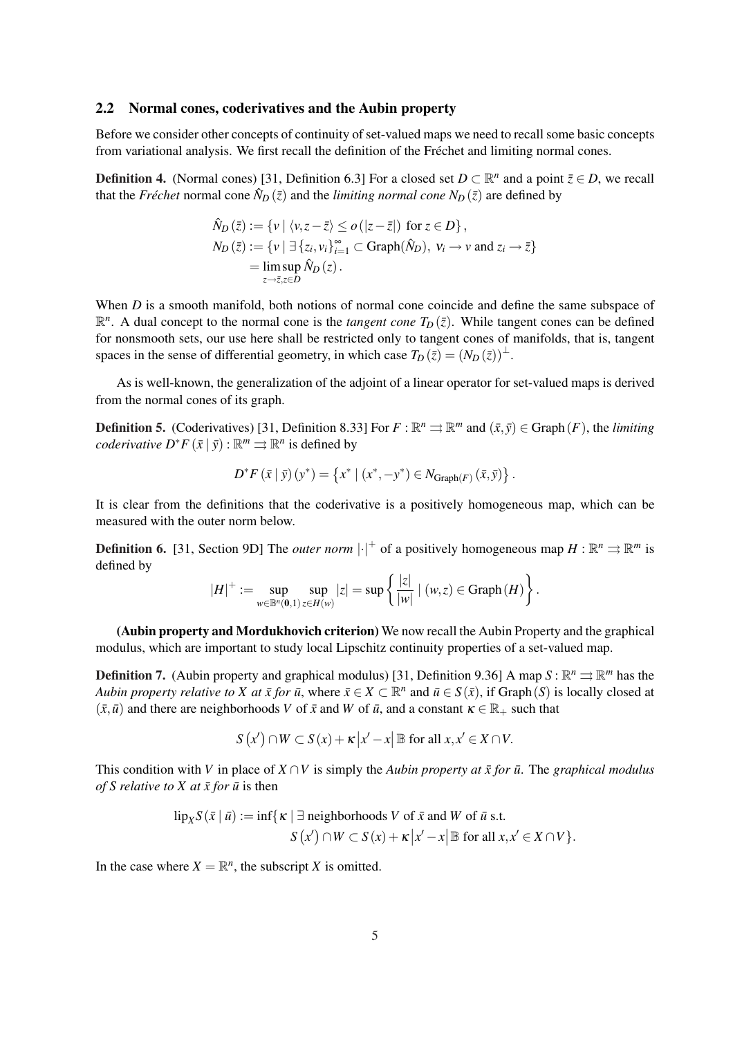### 2.2 Normal cones, coderivatives and the Aubin property

Before we consider other concepts of continuity of set-valued maps we need to recall some basic concepts from variational analysis. We first recall the definition of the Fréchet and limiting normal cones.

**Definition 4.** (Normal cones) [31, Definition 6.3] For a closed set  $D \subset \mathbb{R}^n$  and a point  $\bar{z} \in D$ , we recall that the *Fréchet* normal cone  $\hat{N}_D(\bar{z})$  and the *limiting normal cone*  $N_D(\bar{z})$  are defined by

$$
\hat{N}_D(\bar{z}) := \{ v \mid \langle v, z - \bar{z} \rangle \le o(|z - \bar{z}|) \text{ for } z \in D \},\
$$
\n
$$
N_D(\bar{z}) := \{ v \mid \exists \{z_i, v_i\}_{i=1}^{\infty} \subset \text{Graph}(\hat{N}_D), \ v_i \to v \text{ and } z_i \to \bar{z} \}
$$
\n
$$
= \limsup_{z \to \bar{z}, z \in D} \hat{N}_D(z).
$$

When *D* is a smooth manifold, both notions of normal cone coincide and define the same subspace of  $\mathbb{R}^n$ . A dual concept to the normal cone is the *tangent cone*  $T_D(\bar{z})$ . While tangent cones can be defined for nonsmooth sets, our use here shall be restricted only to tangent cones of manifolds, that is, tangent spaces in the sense of differential geometry, in which case  $T_D(\bar{z}) = (N_D(\bar{z}))^{\perp}$ .

As is well-known, the generalization of the adjoint of a linear operator for set-valued maps is derived from the normal cones of its graph.

**Definition 5.** (Coderivatives) [31, Definition 8.33] For  $F : \mathbb{R}^n \implies \mathbb{R}^m$  and  $(\bar{x}, \bar{y}) \in \text{Graph}(F)$ , the *limiting coderivative*  $D^*F(\bar{x} | \bar{y})$ :  $\mathbb{R}^m \rightrightarrows \mathbb{R}^n$  is defined by

$$
D^*F(\bar{x} | \bar{y})(y^*) = \left\{ x^* | (x^*, -y^*) \in N_{\text{Graph}(F)}(\bar{x}, \bar{y}) \right\}.
$$

It is clear from the definitions that the coderivative is a positively homogeneous map, which can be measured with the outer norm below.

**Definition 6.** [31, Section 9D] The *outer norm*  $|\cdot|^+$  of a positively homogeneous map  $H : \mathbb{R}^n \rightrightarrows \mathbb{R}^m$  is defined by |*z*|  $\mathbf{A}^{\dagger}$ 

$$
|H|^+ := \sup_{w \in \mathbb{B}^n(0,1)} \sup_{z \in H(w)} |z| = \sup \left\{ \frac{|z|}{|w|} \mid (w,z) \in \text{Graph}(H) \right\}.
$$

(Aubin property and Mordukhovich criterion) We now recall the Aubin Property and the graphical modulus, which are important to study local Lipschitz continuity properties of a set-valued map.

**Definition 7.** (Aubin property and graphical modulus) [31, Definition 9.36] A map  $S : \mathbb{R}^n \Rightarrow \mathbb{R}^m$  has the *Aubin property relative to X at*  $\bar{x}$  *for*  $\bar{u}$ , where  $\bar{x} \in X \subset \mathbb{R}^n$  and  $\bar{u} \in S(\bar{x})$ , if Graph(*S*) is locally closed at  $(\bar{x}, \bar{u})$  and there are neighborhoods *V* of  $\bar{x}$  and *W* of  $\bar{u}$ , and a constant  $\kappa \in \mathbb{R}_+$  such that

$$
S(x') \cap W \subset S(x) + \kappa |x' - x| \mathbb{B} \text{ for all } x, x' \in X \cap V.
$$

This condition with *V* in place of  $X \cap V$  is simply the *Aubin property at*  $\bar{x}$  *for*  $\bar{u}$ . The *graphical modulus of S relative to X at*  $\bar{x}$  *for*  $\bar{u}$  *is then* 

$$
\mathrm{lip}_X S(\bar{x} \mid \bar{u}) := \inf \{ \kappa \mid \exists \text{ neighborhoods } V \text{ of } \bar{x} \text{ and } W \text{ of } \bar{u} \text{ s.t. } S(x') \cap W \subset S(x) + \kappa |x'-x| \mathbb{B} \text{ for all } x, x' \in X \cap V \}.
$$

In the case where  $X = \mathbb{R}^n$ , the subscript *X* is omitted.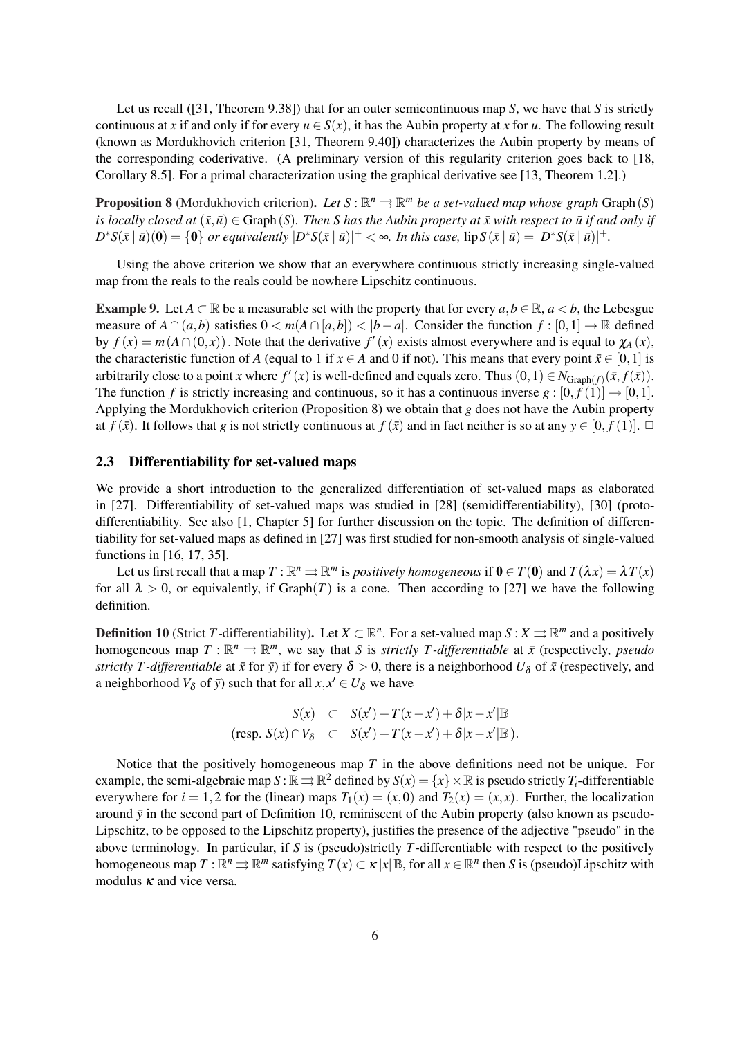Let us recall ([31, Theorem 9.38]) that for an outer semicontinuous map *S*, we have that *S* is strictly continuous at *x* if and only if for every  $u \in S(x)$ , it has the Aubin property at *x* for *u*. The following result (known as Mordukhovich criterion [31, Theorem 9.40]) characterizes the Aubin property by means of the corresponding coderivative. (A preliminary version of this regularity criterion goes back to [18, Corollary 8.5]. For a primal characterization using the graphical derivative see [13, Theorem 1.2].)

**Proposition 8** (Mordukhovich criterion). Let  $S : \mathbb{R}^n \implies \mathbb{R}^m$  be a set-valued map whose graph Graph(*S*) *is locally closed at*  $(\bar{x}, \bar{u}) \in \text{Graph}(S)$ *. Then S has the Aubin property at*  $\bar{x}$  *with respect to*  $\bar{u}$  *if and only if*  $D^*S(\bar{x} \mid \bar{u})(0) = \{0\}$  or equivalently  $|D^*S(\bar{x} \mid \bar{u})|^+ < \infty$ . In this case,  $\text{lip } S(\bar{x} \mid \bar{u}) = |D^*S(\bar{x} \mid \bar{u})|^+$ .

Using the above criterion we show that an everywhere continuous strictly increasing single-valued map from the reals to the reals could be nowhere Lipschitz continuous.

**Example 9.** Let  $A \subset \mathbb{R}$  be a measurable set with the property that for every  $a, b \in \mathbb{R}$ ,  $a < b$ , the Lebesgue measure of  $A \cap (a,b)$  satisfies  $0 < m(A \cap [a,b]) < |b-a|$ . Consider the function  $f : [0,1] \to \mathbb{R}$  defined by  $f(x) = m(A \cap (0, x))$ . Note that the derivative  $f'(x)$  exists almost everywhere and is equal to  $\chi_A(x)$ , the characteristic function of *A* (equal to 1 if  $x \in A$  and 0 if not). This means that every point  $\bar{x} \in [0,1]$  is arbitrarily close to a point *x* where  $f'(x)$  is well-defined and equals zero. Thus  $(0,1) \in N_{Graph(f)}(\bar{x}, f(\bar{x}))$ . The function *f* is strictly increasing and continuous, so it has a continuous inverse  $g : [0, \hat{f}(1)] \rightarrow [0,1]$ . Applying the Mordukhovich criterion (Proposition 8) we obtain that *g* does not have the Aubin property at  $f(\bar{x})$ . It follows that g is not strictly continuous at  $f(\bar{x})$  and in fact neither is so at any  $y \in [0, f(1)]$ .  $\Box$ 

### 2.3 Differentiability for set-valued maps

We provide a short introduction to the generalized differentiation of set-valued maps as elaborated in [27]. Differentiability of set-valued maps was studied in [28] (semidifferentiability), [30] (protodifferentiability. See also [1, Chapter 5] for further discussion on the topic. The definition of differentiability for set-valued maps as defined in [27] was first studied for non-smooth analysis of single-valued functions in [16, 17, 35].

Let us first recall that a map  $T : \mathbb{R}^n \implies \mathbb{R}^m$  is *positively homogeneous* if  $0 \in T(0)$  and  $T(\lambda x) = \lambda T(x)$ for all  $\lambda > 0$ , or equivalently, if Graph(*T*) is a cone. Then according to [27] we have the following definition.

**Definition 10** (Strict *T*-differentiability). Let  $X \subset \mathbb{R}^n$ . For a set-valued map  $S: X \rightrightarrows \mathbb{R}^m$  and a positively homogeneous map  $T : \mathbb{R}^n \implies \mathbb{R}^m$ , we say that *S* is *strictly T*-differentiable at  $\bar{x}$  (respectively, *pseudo strictly T*-differentiable at  $\bar{x}$  for  $\bar{y}$ ) if for every  $\delta > 0$ , there is a neighborhood  $U_{\delta}$  of  $\bar{x}$  (respectively, and a neighborhood  $V_\delta$  of  $\bar{y}$ ) such that for all  $x, x' \in U_\delta$  we have

$$
S(x) \quad \subset \quad S(x') + T(x - x') + \delta |x - x'| \mathbb{B}
$$
  
(resp. 
$$
S(x) \cap V_{\delta} \quad \subset \quad S(x') + T(x - x') + \delta |x - x'| \mathbb{B}).
$$

Notice that the positively homogeneous map *T* in the above definitions need not be unique. For example, the semi-algebraic map  $S : \mathbb{R} \to \mathbb{R}^2$  defined by  $S(x) = \{x\} \times \mathbb{R}$  is pseudo strictly  $T_i$ -differentiable everywhere for  $i = 1,2$  for the (linear) maps  $T_1(x) = (x,0)$  and  $T_2(x) = (x,x)$ . Further, the localization around  $\bar{y}$  in the second part of Definition 10, reminiscent of the Aubin property (also known as pseudo-Lipschitz, to be opposed to the Lipschitz property), justifies the presence of the adjective "pseudo" in the above terminology. In particular, if *S* is (pseudo)strictly *T*-differentiable with respect to the positively homogeneous map  $T : \mathbb{R}^n \implies \mathbb{R}^m$  satisfying  $T(x) \subset \kappa |x| \mathbb{B}$ , for all  $x \in \mathbb{R}^n$  then *S* is (pseudo)Lipschitz with modulus  $\kappa$  and vice versa.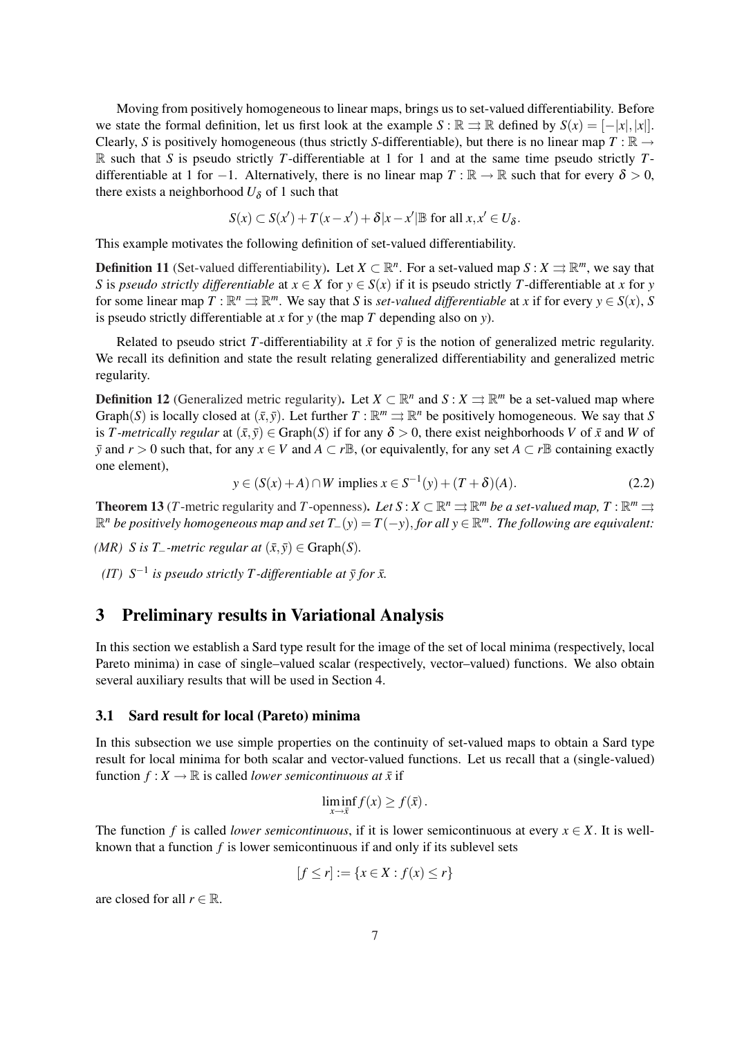Moving from positively homogeneous to linear maps, brings us to set-valued differentiability. Before we state the formal definition, let us first look at the example  $S : \mathbb{R} \rightrightarrows \mathbb{R}$  defined by  $S(x) = [-|x|, |x|]$ . Clearly, *S* is positively homogeneous (thus strictly *S*-differentiable), but there is no linear map  $T : \mathbb{R} \to$ R such that *S* is pseudo strictly *T*-differentiable at 1 for 1 and at the same time pseudo strictly *T*differentiable at 1 for −1. Alternatively, there is no linear map  $T : \mathbb{R} \to \mathbb{R}$  such that for every  $\delta > 0$ , there exists a neighborhood  $U_{\delta}$  of 1 such that

$$
S(x) \subset S(x') + T(x - x') + \delta |x - x'| \mathbb{B} \text{ for all } x, x' \in U_{\delta}.
$$

This example motivates the following definition of set-valued differentiability.

**Definition 11** (Set-valued differentiability). Let  $X \subset \mathbb{R}^n$ . For a set-valued map  $S: X \rightrightarrows \mathbb{R}^m$ , we say that *S* is *pseudo strictly differentiable* at  $x \in X$  for  $y \in S(x)$  if it is pseudo strictly *T*-differentiable at *x* for *y* for some linear map  $T : \mathbb{R}^n \rightrightarrows \mathbb{R}^m$ . We say that *S* is *set-valued differentiable* at *x* if for every  $y \in S(x)$ , *S* is pseudo strictly differentiable at *x* for *y* (the map *T* depending also on *y*).

Related to pseudo strict *T*-differentiability at  $\bar{x}$  for  $\bar{y}$  is the notion of generalized metric regularity. We recall its definition and state the result relating generalized differentiability and generalized metric regularity.

**Definition 12** (Generalized metric regularity). Let  $X \subset \mathbb{R}^n$  and  $S: X \rightrightarrows \mathbb{R}^m$  be a set-valued map where Graph(*S*) is locally closed at  $(\bar{x}, \bar{y})$ . Let further  $T : \mathbb{R}^m \rightrightarrows \mathbb{R}^n$  be positively homogeneous. We say that *S* is *T*-metrically regular at  $(\bar{x}, \bar{y}) \in \text{Graph}(S)$  if for any  $\delta > 0$ , there exist neighborhoods *V* of  $\bar{x}$  and *W* of *y* and *r* > 0 such that, for any *x* ∈ *V* and *A* ⊂ *r*<sup>B</sup>, (or equivalently, for any set *A* ⊂ *r*<sup>B</sup> containing exactly one element),

$$
y \in (S(x) + A) \cap W
$$
 implies  $x \in S^{-1}(y) + (T + \delta)(A)$ . (2.2)

**Theorem 13** (*T*-metric regularity and *T*-openness). Let  $S: X \subset \mathbb{R}^n \Rightarrow \mathbb{R}^m$  be a set-valued map,  $T: \mathbb{R}^m \Rightarrow$ R *<sup>n</sup> be positively homogeneous map and set T*−(*y*) = *T*(−*y*), *for all y* ∈ R *<sup>m</sup>. The following are equivalent:*

*(MR) S is T*<sub>−</sub>*-metric regular at*  $(\bar{x}, \bar{y})$  ∈ Graph(*S*)*.* 

*(IT)*  $S^{-1}$  *is pseudo strictly T*-differentiable at  $\bar{y}$  for  $\bar{x}$ .

# 3 Preliminary results in Variational Analysis

In this section we establish a Sard type result for the image of the set of local minima (respectively, local Pareto minima) in case of single–valued scalar (respectively, vector–valued) functions. We also obtain several auxiliary results that will be used in Section 4.

#### 3.1 Sard result for local (Pareto) minima

In this subsection we use simple properties on the continuity of set-valued maps to obtain a Sard type result for local minima for both scalar and vector-valued functions. Let us recall that a (single-valued) function  $f: X \to \mathbb{R}$  is called *lower semicontinuous at*  $\bar{x}$  if

$$
\liminf_{x \to \bar{x}} f(x) \ge f(\bar{x}).
$$

The function *f* is called *lower semicontinuous*, if it is lower semicontinuous at every  $x \in X$ . It is wellknown that a function *f* is lower semicontinuous if and only if its sublevel sets

$$
[f \le r] := \{x \in X : f(x) \le r\}
$$

are closed for all  $r \in \mathbb{R}$ .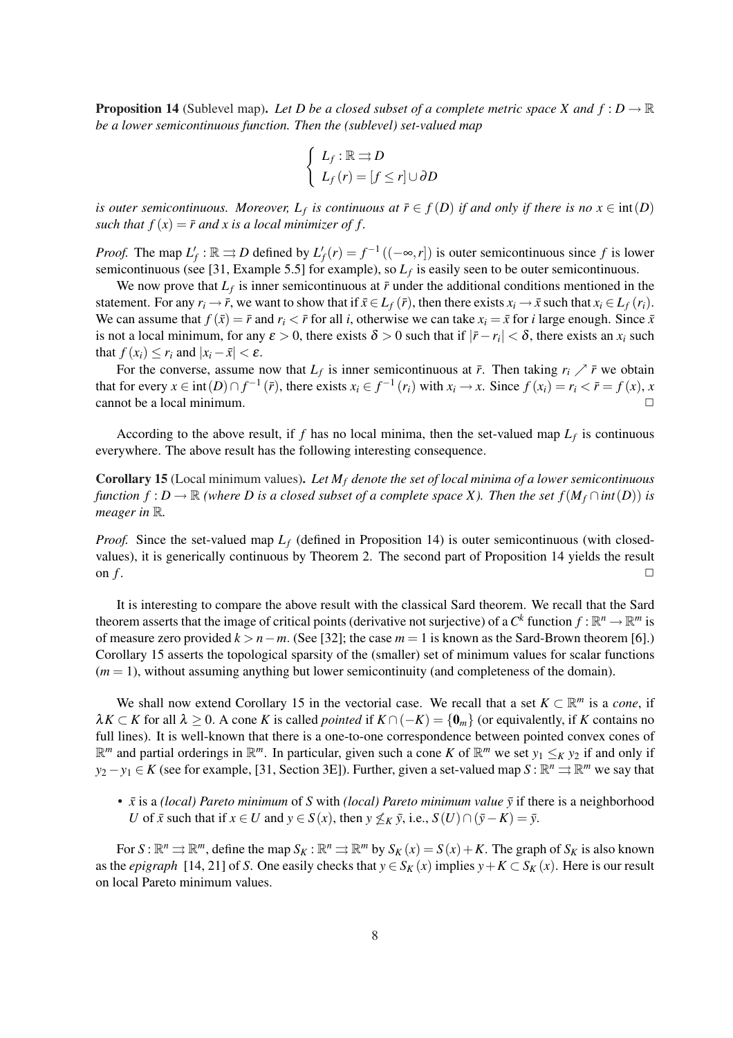**Proposition 14** (Sublevel map). Let *D* be a closed subset of a complete metric space *X* and  $f: D \to \mathbb{R}$ *be a lower semicontinuous function. Then the (sublevel) set-valued map*

$$
\begin{cases}\nL_f: \mathbb{R} \implies D \\
L_f(r) = [f \le r] \cup \partial D\n\end{cases}
$$

*is outer semicontinuous. Moreover,*  $L_f$  *is continuous at*  $\bar{r} \in f(D)$  *if and only if there is no*  $x \in \text{int}(D)$ *such that*  $f(x) = \overline{r}$  *and x is a local minimizer of*  $f$ *.* 

*Proof.* The map  $L_f' : \mathbb{R} \rightrightarrows D$  defined by  $L_f'(r) = f^{-1}((-\infty, r])$  is outer semicontinuous since f is lower semicontinuous (see [31, Example 5.5] for example), so  $L_f$  is easily seen to be outer semicontinuous.

We now prove that  $L_f$  is inner semicontinuous at  $\bar{r}$  under the additional conditions mentioned in the statement. For any  $r_i \to \bar{r}$ , we want to show that if  $\bar{x} \in L_f(\bar{r})$ , then there exists  $x_i \to \bar{x}$  such that  $x_i \in L_f(r_i)$ . We can assume that  $f(\bar{x}) = \bar{r}$  and  $r_i < \bar{r}$  for all *i*, otherwise we can take  $x_i = \bar{x}$  for *i* large enough. Since  $\bar{x}$ is not a local minimum, for any  $\varepsilon > 0$ , there exists  $\delta > 0$  such that if  $|\bar{r} - r_i| < \delta$ , there exists an  $x_i$  such that  $f(x_i) \leq r_i$  and  $|x_i - \bar{x}| < \varepsilon$ .

For the converse, assume now that  $L_f$  is inner semicontinuous at  $\bar{r}$ . Then taking  $r_i \nearrow \bar{r}$  we obtain that for every  $x \in \text{int}(D) \cap f^{-1}(\bar{r})$ , there exists  $x_i \in f^{-1}(r_i)$  with  $x_i \to x$ . Since  $f(x_i) = r_i < \bar{r} = f(x)$ , x cannot be a local minimum.

According to the above result, if  $f$  has no local minima, then the set-valued map  $L_f$  is continuous everywhere. The above result has the following interesting consequence.

Corollary 15 (Local minimum values). *Let M<sup>f</sup> denote the set of local minima of a lower semicontinuous function*  $f: D \to \mathbb{R}$  *(where D is a closed subset of a complete space X). Then the set*  $f(M_f \cap int(D))$  *is meager in* R*.*

*Proof.* Since the set-valued map  $L_f$  (defined in Proposition 14) is outer semicontinuous (with closedvalues), it is generically continuous by Theorem 2. The second part of Proposition 14 yields the result on  $f$ .

It is interesting to compare the above result with the classical Sard theorem. We recall that the Sard theorem asserts that the image of critical points (derivative not surjective) of a  $C^k$  function  $f : \mathbb{R}^n \to \mathbb{R}^m$  is of measure zero provided  $k > n-m$ . (See [32]; the case  $m = 1$  is known as the Sard-Brown theorem [6].) Corollary 15 asserts the topological sparsity of the (smaller) set of minimum values for scalar functions  $(m = 1)$ , without assuming anything but lower semicontinuity (and completeness of the domain).

We shall now extend Corollary 15 in the vectorial case. We recall that a set  $K \subset \mathbb{R}^m$  is a *cone*, if  $\lambda K \subset K$  for all  $\lambda \geq 0$ . A cone *K* is called *pointed* if  $K \cap (-K) = \{0_m\}$  (or equivalently, if *K* contains no full lines). It is well-known that there is a one-to-one correspondence between pointed convex cones of  $\mathbb{R}^m$  and partial orderings in  $\mathbb{R}^m$ . In particular, given such a cone *K* of  $\mathbb{R}^m$  we set  $y_1 \leq_K y_2$  if and only if  $y_2 - y_1 \in K$  (see for example, [31, Section 3E]). Further, given a set-valued map  $S : \mathbb{R}^n \rightrightarrows \mathbb{R}^m$  we say that

•  $\bar{x}$  is a *(local) Pareto minimum* of *S* with *(local) Pareto minimum value*  $\bar{y}$  if there is a neighborhood *U* of  $\bar{x}$  such that if  $x \in U$  and  $y \in S(x)$ , then  $y \nleq_K \bar{y}$ , i.e.,  $S(U) \cap (\bar{y} - K) = \bar{y}$ .

For  $S: \mathbb{R}^n \implies \mathbb{R}^m$ , define the map  $S_K: \mathbb{R}^n \implies \mathbb{R}^m$  by  $S_K(x) = S(x) + K$ . The graph of  $S_K$  is also known as the *epigraph* [14, 21] of *S*. One easily checks that  $y \in S_K(x)$  implies  $y + K \subset S_K(x)$ . Here is our result on local Pareto minimum values.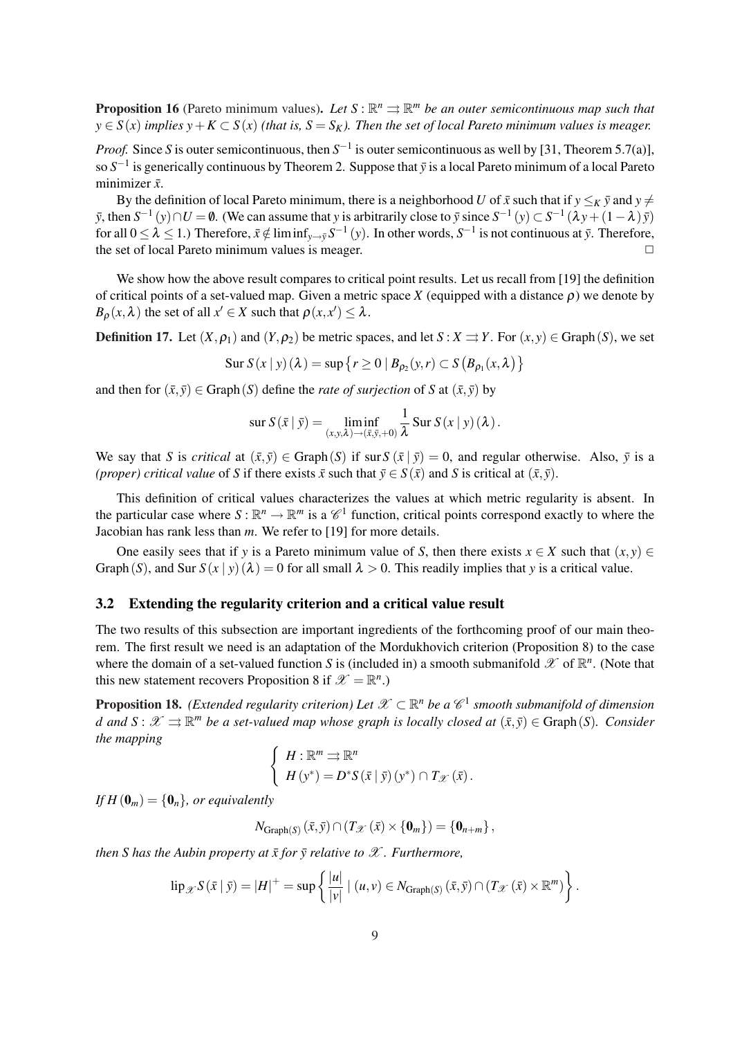**Proposition 16** (Pareto minimum values). Let  $S : \mathbb{R}^n \Rightarrow \mathbb{R}^m$  be an outer semicontinuous map such that *y* ∈ *S*(*x*) *implies y* + *K* ⊂ *S*(*x*) (*that is, S* = *S<sub><i>K*</sub></sub>). Then the set of local Pareto minimum values is meager.

*Proof.* Since *S* is outer semicontinuous, then  $S^{-1}$  is outer semicontinuous as well by [31, Theorem 5.7(a)], so S<sup>-1</sup> is generically continuous by Theorem 2. Suppose that  $\bar{y}$  is a local Pareto minimum of a local Pareto minimizer  $\bar{x}$ .

By the definition of local Pareto minimum, there is a neighborhood *U* of  $\bar{x}$  such that if  $y \leq_K \bar{y}$  and  $y \neq$  $\bar{y}$ , then  $S^{-1}(y) \cap U = \emptyset$ . (We can assume that *y* is arbitrarily close to  $\bar{y}$  since  $S^{-1}(y) \subset S^{-1}(\lambda y + (1 - \lambda)\bar{y})$ for all  $0 \le \lambda \le 1$ .) Therefore,  $\bar{x} \notin \liminf_{y \to \bar{y}} S^{-1}(y)$ . In other words,  $S^{-1}$  is not continuous at  $\bar{y}$ . Therefore, the set of local Pareto minimum values is meager.  $\Box$ 

We show how the above result compares to critical point results. Let us recall from [19] the definition of critical points of a set-valued map. Given a metric space *X* (equipped with a distance  $\rho$ ) we denote by *B*<sub>ρ</sub>(*x*,  $\lambda$ ) the set of all  $x' \in X$  such that  $\rho(x, x') \leq \lambda$ .

**Definition 17.** Let  $(X, \rho_1)$  and  $(Y, \rho_2)$  be metric spaces, and let  $S: X \rightrightarrows Y$ . For  $(x, y) \in \text{Graph}(S)$ , we set

$$
\operatorname{Sur} S(x | y) (\lambda) = \sup \{ r \ge 0 \mid B_{\rho_2}(y,r) \subset S(B_{\rho_1}(x,\lambda)) \}
$$

and then for  $(\bar{x}, \bar{y}) \in \text{Graph}(S)$  define the *rate of surjection* of *S* at  $(\bar{x}, \bar{y})$  by

$$
\operatorname{sur} S(\bar{x} \mid \bar{y}) = \liminf_{(x,y,\lambda) \to (\bar{x},\bar{y},+0)} \frac{1}{\lambda} \operatorname{Sur} S(x \mid y) (\lambda).
$$

We say that *S* is *critical* at  $(\bar{x}, \bar{y}) \in \text{Graph}(S)$  if sur  $S(\bar{x} | \bar{y}) = 0$ , and regular otherwise. Also,  $\bar{y}$  is a *(proper) critical value* of *S* if there exists  $\bar{x}$  such that  $\bar{y} \in S(\bar{x})$  and *S* is critical at  $(\bar{x}, \bar{y})$ .

This definition of critical values characterizes the values at which metric regularity is absent. In the particular case where  $S: \mathbb{R}^n \to \mathbb{R}^m$  is a  $\mathscr{C}^1$  function, critical points correspond exactly to where the Jacobian has rank less than *m*. We refer to [19] for more details.

One easily sees that if *y* is a Pareto minimum value of *S*, then there exists  $x \in X$  such that  $(x, y) \in Y$ Graph(*S*), and Sur  $S(x | y)$  ( $\lambda$ ) = 0 for all small  $\lambda > 0$ . This readily implies that *y* is a critical value.

### 3.2 Extending the regularity criterion and a critical value result

The two results of this subsection are important ingredients of the forthcoming proof of our main theorem. The first result we need is an adaptation of the Mordukhovich criterion (Proposition 8) to the case where the domain of a set-valued function *S* is (included in) a smooth submanifold  $\mathscr X$  of  $\mathbb R^n$ . (Note that this new statement recovers Proposition 8 if  $\mathscr{X} = \mathbb{R}^n$ .)

**Proposition 18.** *(Extended regularity criterion) Let*  $\mathscr{X} \subset \mathbb{R}^n$  *be a*  $\mathscr{C}^1$  smooth submanifold of dimension *d* and  $S: \mathscr{X} \rightrightarrows \mathbb{R}^m$  be a set-valued map whose graph is locally closed at  $(\bar{x}, \bar{y}) \in \text{Graph}(S)$ . Consider *the mapping*  $\overline{a}$ 

$$
\begin{cases}\nH: \mathbb{R}^m \rightrightarrows \mathbb{R}^n \\
H(y^*) = D^*S(\bar{x} | \bar{y})(y^*) \cap T_{\mathscr{X}}(\bar{x}).\n\end{cases}
$$

*If*  $H(\mathbf{0}_m) = \{\mathbf{0}_n\}$ *, or equivalently* 

$$
N_{\text{Graph}(S)}\left(\bar{x},\bar{y}\right)\cap\left(T_{\mathscr{X}}\left(\bar{x}\right)\times\{\mathbf{0}_m\}\right)=\{\mathbf{0}_{n+m}\}\,,
$$

*then S has the Aubin property at*  $\bar{x}$  *for*  $\bar{y}$  *relative to*  $\mathscr{X}$ *. Furthermore,* 

$$
\mathrm{lip}_{\mathscr{X}}S(\bar{x} \mid \bar{y}) = |H|^+ = \mathrm{sup} \left\{ \frac{|u|}{|v|} \mid (u,v) \in N_{\mathrm{Graph}(S)}(\bar{x},\bar{y}) \cap (T_{\mathscr{X}}(\bar{x}) \times \mathbb{R}^m) \right\}.
$$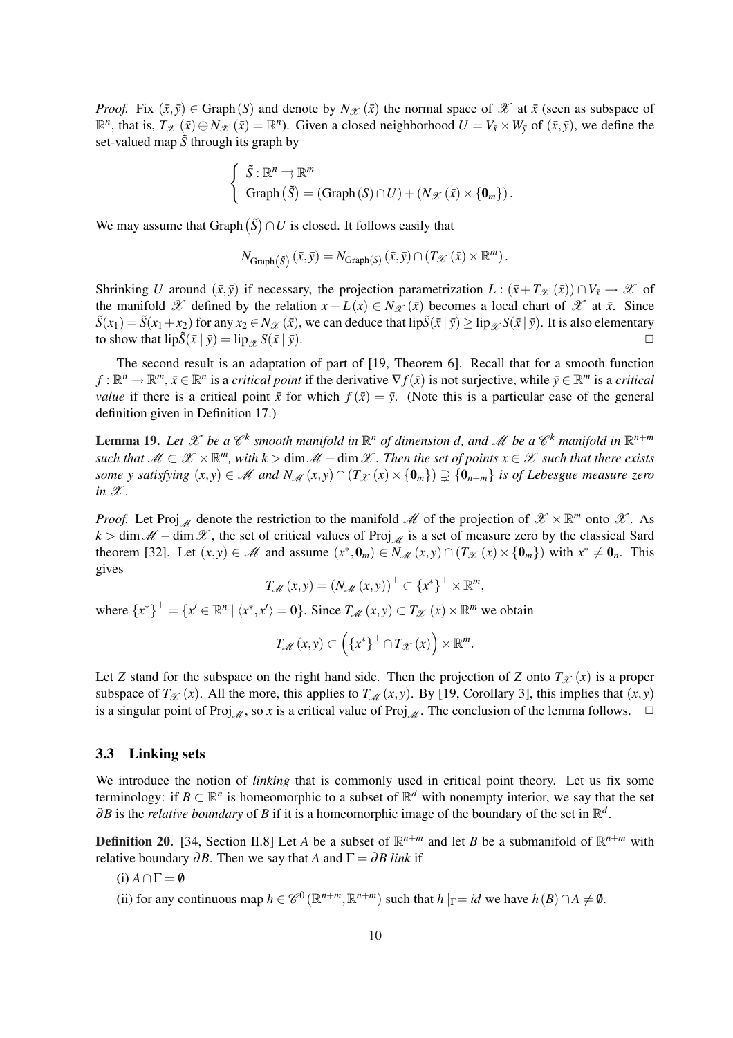*Proof.* Fix  $(\bar{x}, \bar{y}) \in \text{Graph}(S)$  and denote by  $N_{\mathcal{X}}(\bar{x})$  the normal space of X at  $\bar{x}$  (seen as subspace of  $\mathbb{R}^n$ , that is,  $T_{\mathscr{X}}(\bar{x}) \oplus N_{\mathscr{X}}(\bar{x}) = \mathbb{R}^n$ . Given a closed neighborhood  $U = V_{\bar{x}} \times W_{\bar{y}}$  of  $(\bar{x}, \bar{y})$ , we define the set-valued map  $\tilde{S}$  through its graph by

$$
\begin{cases} \tilde{S}: \mathbb{R}^n \Rightarrow \mathbb{R}^m \\ \text{Graph}(\tilde{S}) = (\text{Graph}(S) \cap U) + (N_{\mathscr{X}}(\bar{x}) \times {\bf{0}}_m) \,. \end{cases}
$$

We may assume that  $Graph(S)$  $\cap$ *U* is closed. It follows easily that

 $N_{\text{Graph}(\tilde{S})}(\bar{x}, \bar{y}) = N_{\text{Graph}(S)}(\bar{x}, \bar{y}) \cap (T_{\mathscr{X}}(\bar{x}) \times \mathbb{R}^m).$ 

Shrinking *U* around  $(\bar{x}, \bar{y})$  if necessary, the projection parametrization  $L : (\bar{x} + T_{\mathscr{X}}(\bar{x})) \cap V_{\bar{x}} \to \mathscr{X}$  of the manifold X defined by the relation  $x - L(x) \in N_{\mathcal{X}}(\bar{x})$  becomes a local chart of X at  $\bar{x}$ . Since  $\tilde{S}(x_1) = \tilde{S}(x_1+x_2)$  for any  $x_2 \in N_{\mathcal{X}}(\bar{x})$ , we can deduce that  $\text{lip}\tilde{S}(\bar{x} \mid \bar{y}) \geq \text{lip}_{\mathcal{X}} S(\bar{x} \mid \bar{y})$ . It is also elementary to show that  $\text{lip}\tilde{S}(\bar{x} | \bar{y}) = \text{lip}_{\mathscr{X}} S(\bar{x} | \bar{y}).$ 

The second result is an adaptation of part of [19, Theorem 6]. Recall that for a smooth function  $f: \mathbb{R}^n \to \mathbb{R}^m$ ,  $\bar{x} \in \mathbb{R}^n$  is a *critical point* if the derivative  $\nabla f(\bar{x})$  is not surjective, while  $\bar{y} \in \mathbb{R}^m$  is a *critical value* if there is a critical point  $\bar{x}$  for which  $f(\bar{x}) = \bar{y}$ . (Note this is a particular case of the general definition given in Definition 17.)

**Lemma 19.** Let  $\mathscr X$  be a  $\mathscr C^k$  smooth manifold in  $\mathbb R^n$  of dimension d, and  $\mathscr M$  be a  $\mathscr C^k$  manifold in  $\mathbb R^{n+m}$ *such that*  $M \subset \mathcal{X} \times \mathbb{R}^m$ , with  $k > \dim M - \dim \mathcal{X}$ . Then the set of points  $x \in \mathcal{X}$  such that there exists *some y satisfying*  $(x, y) \in M$  *and*  $N_M(x, y) \cap (T_X(x) \times \{0_m\}) \supsetneq \{0_{n+m}\}$  *is of Lebesgue measure zero in*  $\mathscr{X}$ *.* 

*Proof.* Let Proj<sub>M</sub> denote the restriction to the manifold M of the projection of  $\mathscr{X} \times \mathbb{R}^m$  onto  $\mathscr{X}$ . As  $k > \dim M - \dim X$ , the set of critical values of Proj  $\chi$  is a set of measure zero by the classical Sard theorem [32]. Let  $(x, y) \in \mathcal{M}$  and assume  $(x^*, \mathbf{0}_m) \in N_{\mathcal{M}}(x, y) \cap (T_{\mathcal{X}}(x) \times {\mathbf{0}_m})$  with  $x^* \neq \mathbf{0}_n$ . This gives

$$
T_{\mathscr{M}}(x,y)=(N_{\mathscr{M}}(x,y))^{\perp}\subset\{x^*\}^{\perp}\times\mathbb{R}^m,
$$

where  $\{x^*\}^{\perp} = \{x' \in \mathbb{R}^n \mid \langle x^*, x' \rangle = 0\}$ . Since  $T_M(x, y) \subset T_{\mathcal{X}}(x) \times \mathbb{R}^m$  we obtain

$$
T_{\mathscr{M}}(x,y)\subset \left(\left\{x^*\right\}^{\perp}\cap T_{\mathscr{X}}(x)\right)\times\mathbb{R}^m.
$$

Let *Z* stand for the subspace on the right hand side. Then the projection of *Z* onto  $T_{\mathscr{X}}(x)$  is a proper subspace of  $T_{\mathscr{X}}(x)$ . All the more, this applies to  $T_M(x, y)$ . By [19, Corollary 3], this implies that  $(x, y)$ is a singular point of Proj<sub>M</sub>, so *x* is a critical value of Proj<sub>M</sub>. The conclusion of the lemma follows.  $\Box$ 

### 3.3 Linking sets

We introduce the notion of *linking* that is commonly used in critical point theory. Let us fix some terminology: if  $B \subset \mathbb{R}^n$  is homeomorphic to a subset of  $\mathbb{R}^d$  with nonempty interior, we say that the set  $\partial B$  is the *relative boundary* of *B* if it is a homeomorphic image of the boundary of the set in  $\mathbb{R}^d$ .

**Definition 20.** [34, Section II.8] Let *A* be a subset of  $\mathbb{R}^{n+m}$  and let *B* be a submanifold of  $\mathbb{R}^{n+m}$  with relative boundary  $\partial B$ . Then we say that *A* and  $\Gamma = \partial B$  *link* if

- $(i)$   $A \cap \Gamma = \emptyset$
- (ii) for any continuous map  $h \in \mathscr{C}^0(\mathbb{R}^{n+m}, \mathbb{R}^{n+m})$  such that  $h \mid_{\Gamma} = id$  we have  $h(B) \cap A \neq \emptyset$ .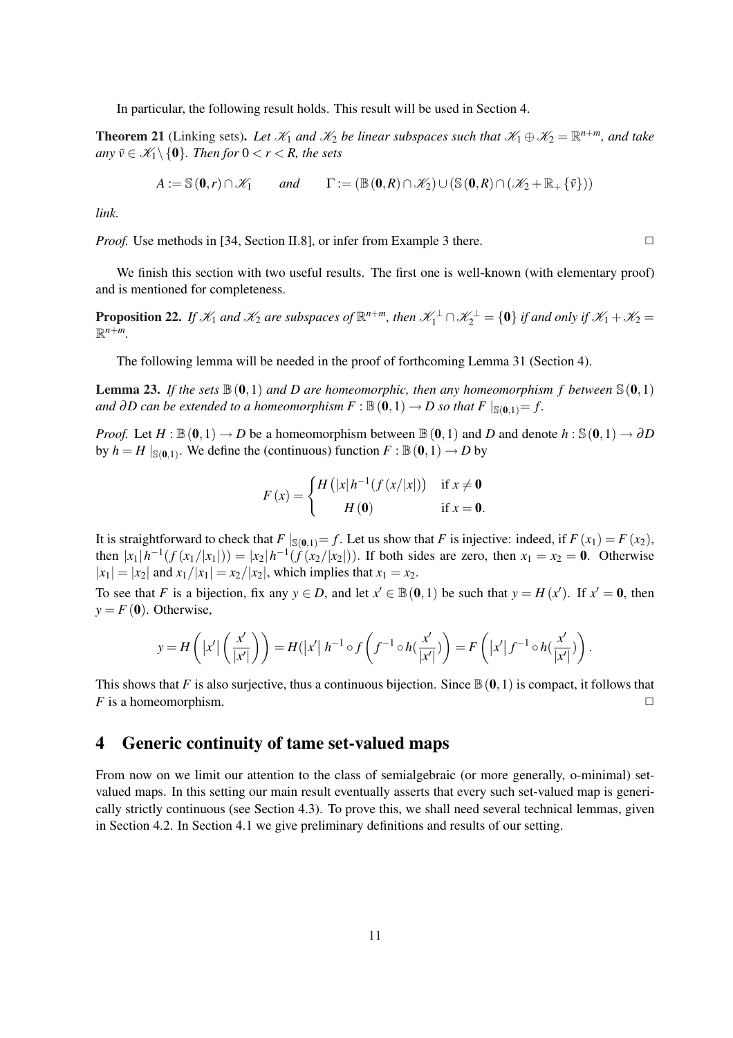In particular, the following result holds. This result will be used in Section 4.

**Theorem 21** (Linking sets). Let  $\mathcal{K}_1$  and  $\mathcal{K}_2$  be linear subspaces such that  $\mathcal{K}_1 \oplus \mathcal{K}_2 = \mathbb{R}^{n+m}$ , and take *any*  $\bar{v} \in \mathcal{K}_1 \setminus \{0\}$ *. Then for*  $0 < r < R$ *, the sets* 

$$
A := \mathbb{S}(0,r) \cap \mathscr{K}_1 \qquad \text{and} \qquad \Gamma := (\mathbb{B}(0,R) \cap \mathscr{K}_2) \cup (\mathbb{S}(0,R) \cap (\mathscr{K}_2 + \mathbb{R}_+ \{\bar{v}\}))
$$

*link.*

*Proof.* Use methods in [34, Section II.8], or infer from Example 3 there. □

We finish this section with two useful results. The first one is well-known (with elementary proof) and is mentioned for completeness.

**Proposition 22.** If  $\mathscr{K}_1$  and  $\mathscr{K}_2$  are subspaces of  $\mathbb{R}^{n+m}$ , then  $\mathscr{K}_1^{\perp} \cap \mathscr{K}_2^{\perp} = \{ \mathbf{0} \}$  if and only if  $\mathscr{K}_1 + \mathscr{K}_2 =$  $\mathbb{R}^{n+m}$ .

The following lemma will be needed in the proof of forthcoming Lemma 31 (Section 4).

**Lemma 23.** If the sets  $\mathbb{B}(0,1)$  and D are homeomorphic, then any homeomorphism f between  $\mathbb{S}(0,1)$ *and* ∂*D can be extended to a homeomorphism*  $F : \mathbb{B}(0,1) \to D$  *so that*  $F |_{S(0,1)} = f$ *.* 

*Proof.* Let  $H : \mathbb{B}(0,1) \to D$  be a homeomorphism between  $\mathbb{B}(0,1)$  and *D* and denote  $h : \mathbb{S}(0,1) \to \partial D$ by  $h = H |_{\mathbb{S}(0,1)}$ . We define the (continuous) function  $F : \mathbb{B}(0,1) \to D$  by

$$
F(x) = \begin{cases} H\left(|x|h^{-1}(f(x/|x|))\right) & \text{if } x \neq \mathbf{0} \\ H\left(\mathbf{0}\right) & \text{if } x = \mathbf{0}. \end{cases}
$$

It is straightforward to check that  $F|_{S(0,1)} = f$ . Let us show that *F* is injective: indeed, if  $F(x_1) = F(x_2)$ , then  $|x_1|h^{-1}(f(x_1/|x_1|)) = |x_2|h^{-1}(f(x_2/|x_2|))$ . If both sides are zero, then  $x_1 = x_2 = 0$ . Otherwise  $|x_1| = |x_2|$  and  $x_1/|x_1| = x_2/|x_2|$ , which implies that  $x_1 = x_2$ .

To see that *F* is a bijection, fix any  $y \in D$ , and let  $x' \in \mathbb{B}(0,1)$  be such that  $y = H(x')$ . If  $x' = 0$ , then  $y = F(0)$ . Otherwise,

$$
y = H\left(|x'|\left(\frac{x'}{|x'|}\right)\right) = H(|x'|\;h^{-1} \circ f\left(f^{-1} \circ h(\frac{x'}{|x'|})\right) = F\left(|x'|\,f^{-1} \circ h(\frac{x'}{|x'|})\right).
$$

This shows that *F* is also surjective, thus a continuous bijection. Since  $\mathbb{B}(0,1)$  is compact, it follows that *F* is a homeomorphism.  $\Box$ 

## 4 Generic continuity of tame set-valued maps

From now on we limit our attention to the class of semialgebraic (or more generally, o-minimal) setvalued maps. In this setting our main result eventually asserts that every such set-valued map is generically strictly continuous (see Section 4.3). To prove this, we shall need several technical lemmas, given in Section 4.2. In Section 4.1 we give preliminary definitions and results of our setting.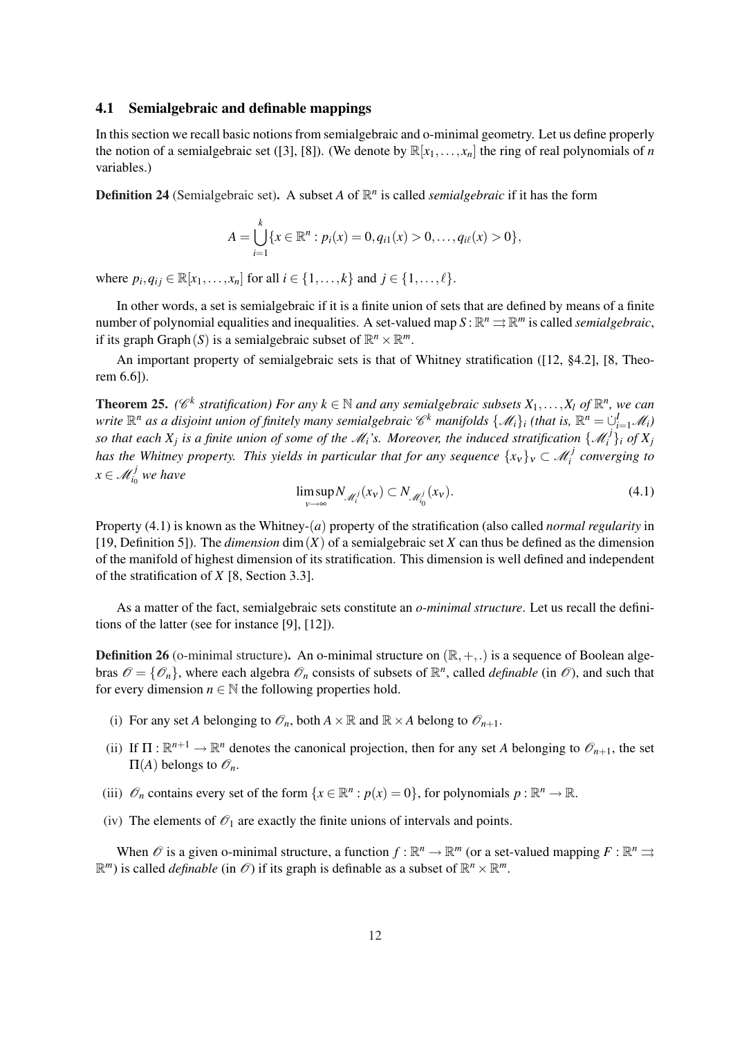#### 4.1 Semialgebraic and definable mappings

In this section we recall basic notions from semialgebraic and o-minimal geometry. Let us define properly the notion of a semialgebraic set ([3], [8]). (We denote by  $\mathbb{R}[x_1,\ldots,x_n]$  the ring of real polynomials of *n* variables.)

**Definition 24** (Semialgebraic set). A subset A of  $\mathbb{R}^n$  is called *semialgebraic* if it has the form

$$
A = \bigcup_{i=1}^k \{x \in \mathbb{R}^n : p_i(x) = 0, q_{i1}(x) > 0, \ldots, q_{i\ell}(x) > 0\},\
$$

where *p*<sub>*i*</sub>, *q*<sub>*i*</sub> ∈ ℝ[*x*<sub>1</sub>,...,*x*<sub>*n*</sub>] for all *i* ∈ {1,...,*k*} and *j* ∈ {1,...,*ℓ*}.

In other words, a set is semialgebraic if it is a finite union of sets that are defined by means of a finite number of polynomial equalities and inequalities. A set-valued map  $S : \mathbb{R}^n \rightrightarrows \mathbb{R}^m$  is called *semialgebraic*, if its graph Graph  $(S)$  is a semialgebraic subset of  $\mathbb{R}^n \times \mathbb{R}^m$ .

An important property of semialgebraic sets is that of Whitney stratification ([12, §4.2], [8, Theorem 6.6]).

**Theorem 25.** *(* $\mathscr{C}^k$  stratification) For any  $k \in \mathbb{N}$  and any semialgebraic subsets  $X_1, \ldots, X_l$  of  $\mathbb{R}^n$ , we can  $w$ rite  $\mathbb{R}^n$  as a disjoint union of finitely many semialgebraic  $\mathscr{C}^k$  manifolds  $\{\mathscr{M}_i\}_i$  (that is,  $\mathbb{R}^n = \cup_{i=1}^I \mathscr{M}_i$ ) *so that each*  $X_j$  *is a finite union of some of the M*<sub>*i*</sub>'s. Moreover, the induced stratification  $\{M_i^j\}_i$  of  $X_j$ *has the Whitney property. This yields in particular that for any sequence*  $\{x_v\}_v \subset \mathcal{M}_i^j$  converging to  $x \in \mathscr{M}_{i_0}^j$  we have

$$
\limsup_{\nu \to \infty} N_{\mathcal{M}_i^j}(x_\nu) \subset N_{\mathcal{M}_{i_0}^j}(x_\nu). \tag{4.1}
$$

Property (4.1) is known as the Whitney-(*a*) property of the stratification (also called *normal regularity* in [19, Definition 5]). The *dimension* dim(*X*) of a semialgebraic set *X* can thus be defined as the dimension of the manifold of highest dimension of its stratification. This dimension is well defined and independent of the stratification of *X* [8, Section 3.3].

As a matter of the fact, semialgebraic sets constitute an *o-minimal structure*. Let us recall the definitions of the latter (see for instance [9], [12]).

**Definition 26** (o-minimal structure). An o-minimal structure on  $(\mathbb{R}, +, .)$  is a sequence of Boolean algebras  $\mathcal{O} = \{ \mathcal{O}_n \}$ , where each algebra  $\mathcal{O}_n$  consists of subsets of  $\mathbb{R}^n$ , called *definable* (in  $\mathcal{O}$ ), and such that for every dimension  $n \in \mathbb{N}$  the following properties hold.

- (i) For any set *A* belonging to  $\mathcal{O}_n$ , both  $A \times \mathbb{R}$  and  $\mathbb{R} \times A$  belong to  $\mathcal{O}_{n+1}$ .
- (ii) If  $\Pi : \mathbb{R}^{n+1} \to \mathbb{R}^n$  denotes the canonical projection, then for any set *A* belonging to  $\mathcal{O}_{n+1}$ , the set  $\Pi(A)$  belongs to  $\mathcal{O}_n$ .
- (iii)  $\mathscr{O}_n$  contains every set of the form  $\{x \in \mathbb{R}^n : p(x) = 0\}$ , for polynomials  $p : \mathbb{R}^n \to \mathbb{R}$ .
- (iv) The elements of  $\mathcal{O}_1$  are exactly the finite unions of intervals and points.

When  $\mathcal O$  is a given o-minimal structure, a function  $f : \mathbb{R}^n \to \mathbb{R}^m$  (or a set-valued mapping  $F : \mathbb{R}^n \to$  $\mathbb{R}^m$ ) is called *definable* (in  $\mathcal{O}$ ) if its graph is definable as a subset of  $\mathbb{R}^n \times \mathbb{R}^m$ .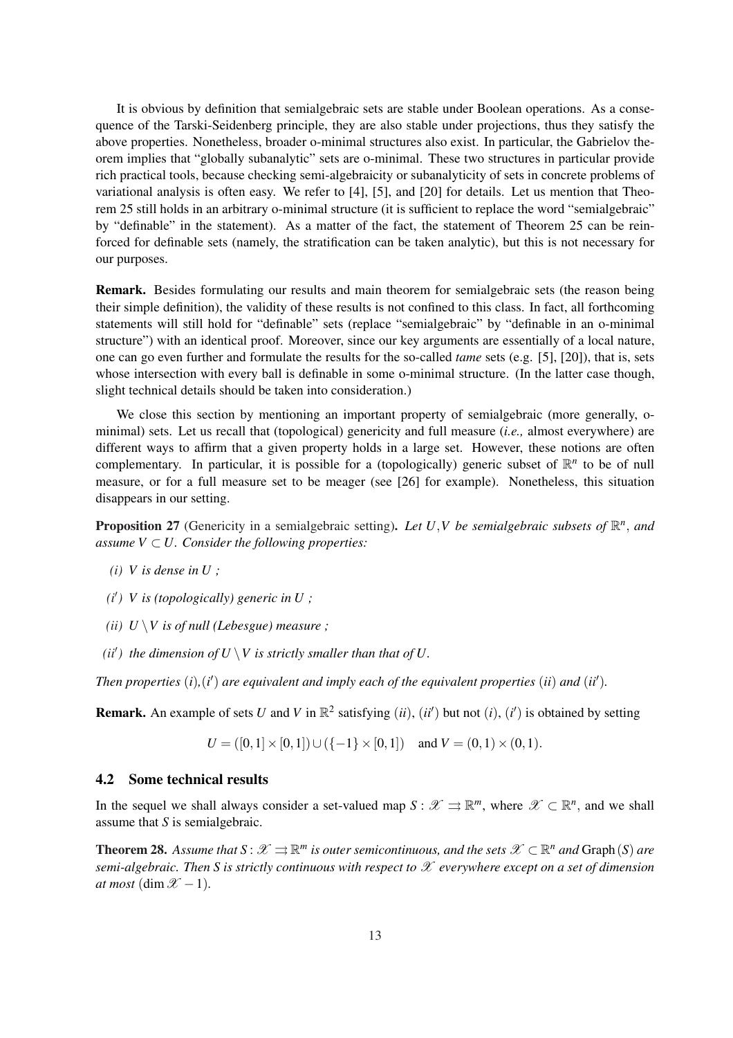It is obvious by definition that semialgebraic sets are stable under Boolean operations. As a consequence of the Tarski-Seidenberg principle, they are also stable under projections, thus they satisfy the above properties. Nonetheless, broader o-minimal structures also exist. In particular, the Gabrielov theorem implies that "globally subanalytic" sets are o-minimal. These two structures in particular provide rich practical tools, because checking semi-algebraicity or subanalyticity of sets in concrete problems of variational analysis is often easy. We refer to [4], [5], and [20] for details. Let us mention that Theorem 25 still holds in an arbitrary o-minimal structure (it is sufficient to replace the word "semialgebraic" by "definable" in the statement). As a matter of the fact, the statement of Theorem 25 can be reinforced for definable sets (namely, the stratification can be taken analytic), but this is not necessary for our purposes.

Remark. Besides formulating our results and main theorem for semialgebraic sets (the reason being their simple definition), the validity of these results is not confined to this class. In fact, all forthcoming statements will still hold for "definable" sets (replace "semialgebraic" by "definable in an o-minimal structure") with an identical proof. Moreover, since our key arguments are essentially of a local nature, one can go even further and formulate the results for the so-called *tame* sets (e.g. [5], [20]), that is, sets whose intersection with every ball is definable in some o-minimal structure. (In the latter case though, slight technical details should be taken into consideration.)

We close this section by mentioning an important property of semialgebraic (more generally, ominimal) sets. Let us recall that (topological) genericity and full measure (*i.e.,* almost everywhere) are different ways to affirm that a given property holds in a large set. However, these notions are often complementary. In particular, it is possible for a (topologically) generic subset of  $\mathbb{R}^n$  to be of null measure, or for a full measure set to be meager (see [26] for example). Nonetheless, this situation disappears in our setting.

**Proposition 27** (Genericity in a semialgebraic setting). Let U,V be semialgebraic subsets of  $\mathbb{R}^n$ , and *assume*  $V \subset U$ . *Consider the following properties:* 

- *(i)*  $V$  *is dense in*  $U$  *;*
- $(i')$  *V* is (topologically) generic in *U*;
- *(ii)*  $U \setminus V$  *is of null (Lebesgue) measure ;*
- *(ii')* the dimension of  $U \setminus V$  is strictly smaller than that of U.

*Then properties*  $(i)$ ,  $(i')$  *are equivalent and imply each of the equivalent properties*  $(ii)$  *and*  $(ii')$ *.* 

**Remark.** An example of sets *U* and *V* in  $\mathbb{R}^2$  satisfying  $(ii)$ ,  $(ii')$  but not  $(i)$ ,  $(i')$  is obtained by setting

$$
U = ([0,1] \times [0,1]) \cup (\{-1\} \times [0,1]) \text{ and } V = (0,1) \times (0,1).
$$

### 4.2 Some technical results

In the sequel we shall always consider a set-valued map  $S: \mathscr{X} \rightrightarrows \mathbb{R}^m$ , where  $\mathscr{X} \subset \mathbb{R}^n$ , and we shall assume that *S* is semialgebraic.

**Theorem 28.** Assume that  $S: \mathscr{X} \rightrightarrows \mathbb{R}^m$  is outer semicontinuous, and the sets  $\mathscr{X} \subset \mathbb{R}^n$  and Graph(S) are *semi-algebraic. Then S is strictly continuous with respect to* X *everywhere except on a set of dimension at most* (dim  $\mathscr{X}$  − 1).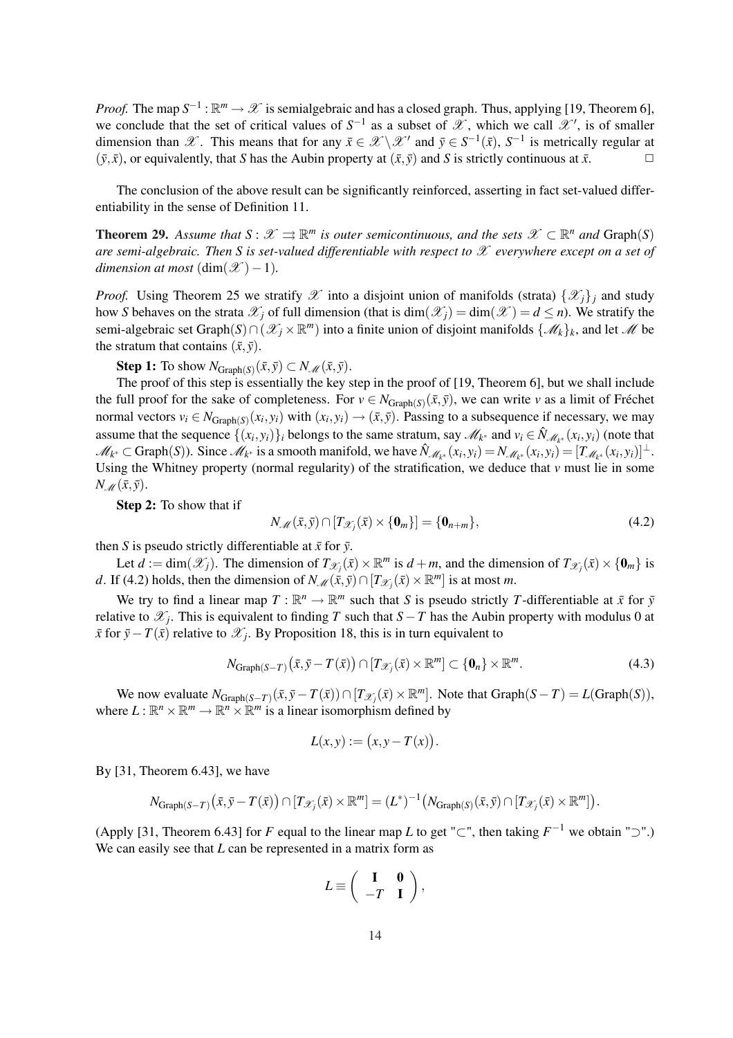*Proof.* The map  $S^{-1}$ :  $\mathbb{R}^m \to \mathcal{X}$  is semialgebraic and has a closed graph. Thus, applying [19, Theorem 6], we conclude that the set of critical values of  $S^{-1}$  as a subset of  $\mathscr X$ , which we call  $\mathscr X'$ , is of smaller dimension than X. This means that for any  $\bar{x} \in \mathcal{X} \setminus \mathcal{X}'$  and  $\bar{y} \in S^{-1}(\bar{x})$ ,  $S^{-1}$  is metrically regular at  $(\bar{v}, \bar{x})$ , or equivalently, that *S* has the Aubin property at  $(\bar{x}, \bar{v})$  and *S* is strictly continuous at  $\bar{x}$ .

The conclusion of the above result can be significantly reinforced, asserting in fact set-valued differentiability in the sense of Definition 11.

**Theorem 29.** Assume that  $S: \mathcal{X} \implies \mathbb{R}^m$  is outer semicontinuous, and the sets  $\mathcal{X} \subset \mathbb{R}^n$  and  $\text{Graph}(S)$ *are semi-algebraic. Then S is set-valued differentiable with respect to* X *everywhere except on a set of dimension at most*  $(\dim(\mathcal{X}) - 1)$ *.* 

*Proof.* Using Theorem 25 we stratify  $\mathscr X$  into a disjoint union of manifolds (strata)  $\{\mathscr X_j\}_j$  and study how *S* behaves on the strata  $\mathscr{X}_i$  of full dimension (that is dim $(\mathscr{X}_i) = \dim(\mathscr{X}) = d \leq n$ ). We stratify the semi-algebraic set Graph(*S*)∩( $\mathscr{X}_j$  ×  $\mathbb{R}^m$ ) into a finite union of disjoint manifolds  $\{\mathscr{M}_k\}_k$ , and let  $\mathscr{M}$  be the stratum that contains  $(\bar{x}, \bar{y})$ .

**Step 1:** To show  $N_{\text{Graph}(S)}(\bar{x}, \bar{y}) \subset N_{\mathcal{M}}(\bar{x}, \bar{y}).$ 

The proof of this step is essentially the key step in the proof of [19, Theorem 6], but we shall include the full proof for the sake of completeness. For  $v \in N_{Graph(S)}(\bar{x}, \bar{y})$ , we can write *v* as a limit of Fréchet normal vectors  $v_i \in N_{Graph(S)}(x_i, y_i)$  with  $(x_i, y_i) \to (\bar{x}, \bar{y})$ . Passing to a subsequence if necessary, we may assume that the sequence  $\{(x_i, y_i)\}_i$  belongs to the same stratum, say  $\mathscr{M}_{k^*}$  and  $v_i \in \hat{N}_{\mathscr{M}_{k^*}}(x_i, y_i)$  (note that  $\mathcal{M}_{k^*} \subset \text{Graph}(S)$ ). Since  $\mathcal{M}_{k^*}$  is a smooth manifold, we have  $\hat{N}_{\mathcal{M}_{k^*}}(x_i, y_i) = N_{\mathcal{M}_{k^*}}(x_i, y_i) = [T_{\mathcal{M}_{k^*}}(x_i, y_i)]^{\perp}$ . Using the Whitney property (normal regularity) of the stratification, we deduce that *v* must lie in some  $N_{\mathscr{M}}(\bar{x},\bar{y}).$ 

Step 2: To show that if

$$
N_{\mathscr{M}}(\bar{x}, \bar{y}) \cap [T_{\mathscr{X}_j}(\bar{x}) \times \{\mathbf{0}_m\}] = \{\mathbf{0}_{n+m}\},\tag{4.2}
$$

then *S* is pseudo strictly differentiable at  $\bar{x}$  for  $\bar{y}$ .

Let  $d := \dim(\mathcal{X}_j)$ . The dimension of  $T_{\mathcal{X}_j}(\bar{x}) \times \mathbb{R}^m$  is  $d + m$ , and the dimension of  $T_{\mathcal{X}_j}(\bar{x}) \times \{0_m\}$  is *d*. If (4.2) holds, then the dimension of  $N_M(\bar{x}, \bar{y}) \cap [T_{\mathscr{X}_{j}}(\bar{x}) \times \mathbb{R}^m]$  is at most *m*.

We try to find a linear map  $T : \mathbb{R}^n \to \mathbb{R}^m$  such that *S* is pseudo strictly *T*-differentiable at  $\bar{x}$  for  $\bar{y}$ relative to  $\mathscr{X}_j$ . This is equivalent to finding *T* such that *S*−*T* has the Aubin property with modulus 0 at *x* for  $\bar{y}$ −*T*(*x*̄) relative to  $\mathcal{X}_j$ . By Proposition 18, this is in turn equivalent to

$$
N_{\text{Graph}(S-T)}(\bar{x}, \bar{y}-T(\bar{x})) \cap [T_{\mathscr{X}_j}(\bar{x}) \times \mathbb{R}^m] \subset \{\mathbf{0}_n\} \times \mathbb{R}^m.
$$
 (4.3)

We now evaluate  $N_{Graph(S-T)}(\bar{x}, \bar{y}-T(\bar{x})) \cap [T_{\mathscr{X}_{j}}(\bar{x}) \times \mathbb{R}^{m}]$ . Note that  $Graph(S-T) = L(Graph(S)),$ where  $L : \mathbb{R}^n \times \mathbb{R}^m \to \mathbb{R}^n \times \mathbb{R}^m$  is a linear isomorphism defined by

$$
L(x, y) := (x, y - T(x)).
$$

By [31, Theorem 6.43], we have

$$
N_{\mathrm{Graph}(S-T)}(\bar{x}, \bar{y}-T(\bar{x}))\cap [T_{\mathscr{X}_j}(\bar{x})\times \mathbb{R}^m]=(L^*)^{-1}\big(N_{\mathrm{Graph}(S)}(\bar{x}, \bar{y})\cap [T_{\mathscr{X}_j}(\bar{x})\times \mathbb{R}^m]\big).
$$

(Apply [31, Theorem 6.43] for *F* equal to the linear map *L* to get "⊂", then taking  $F^{-1}$  we obtain "⊃".) We can easily see that *L* can be represented in a matrix form as

$$
L \equiv \left( \begin{array}{cc} \mathbf{I} & \mathbf{0} \\ -T & \mathbf{I} \end{array} \right),
$$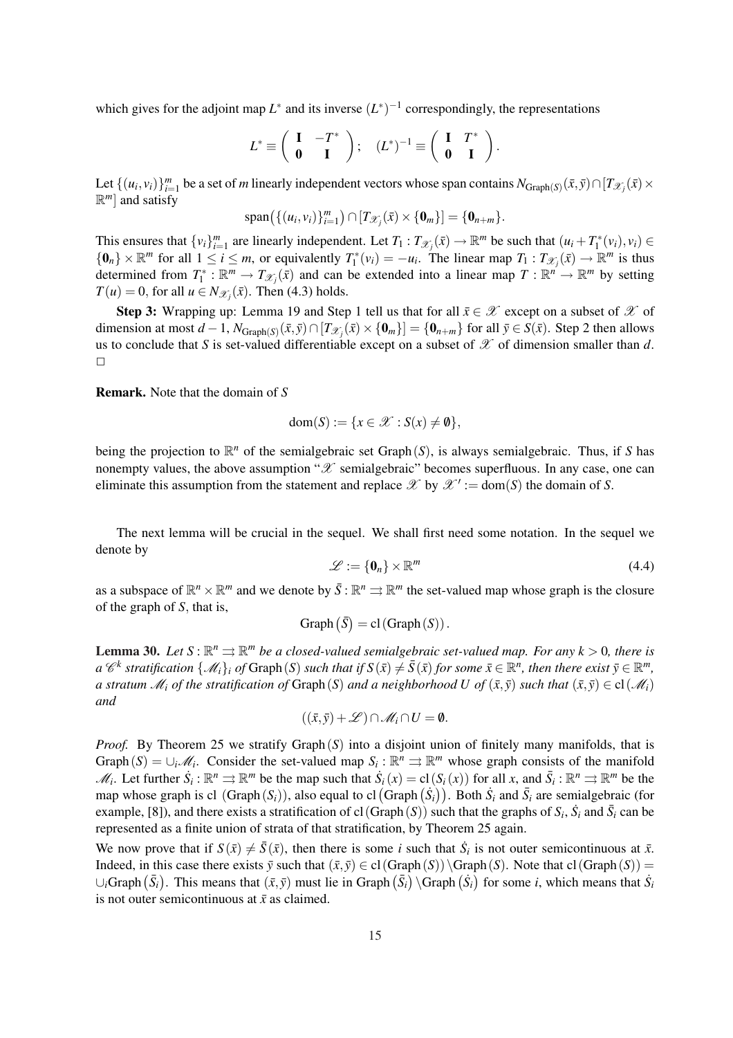which gives for the adjoint map  $L^*$  and its inverse  $(L^*)^{-1}$  correspondingly, the representations

$$
L^* \equiv \left( \begin{array}{cc} \mathbf{I} & -T^* \\ \mathbf{0} & \mathbf{I} \end{array} \right); \quad (L^*)^{-1} \equiv \left( \begin{array}{cc} \mathbf{I} & T^* \\ \mathbf{0} & \mathbf{I} \end{array} \right).
$$

Let  $\{(u_i, v_i)\}_{i=1}^m$  be a set of *m* linearly independent vectors whose span contains  $N_{Graph(S)}(\bar{x}, \bar{y}) \cap [T_{\mathscr{X}_j}(\bar{x}) \times$  $\mathbb{R}^m$  and satisfy ¢

$$
\mathrm{span}\big(\{(u_i,v_i)\}_{i=1}^m\big)\cap[T_{\mathscr{X}_j}(\bar{x})\times\{\mathbf{0}_m\}]=\{\mathbf{0}_{n+m}\}.
$$

This ensures that  $\{v_i\}_{i=1}^m$  are linearly independent. Let  $T_1: T_{\mathscr{X}_j}(\bar{x}) \to \mathbb{R}^m$  be such that  $(u_i + T_1^*(v_i), v_i) \in$  $\{0_n\} \times \mathbb{R}^m$  for all  $1 \le i \le m$ , or equivalently  $T_1^*(v_i) = -u_i$ . The linear map  $T_1 : T_{\mathscr{X}_j}(\bar{x}) \to \mathbb{R}^m$  is thus determined from  $T_1^* : \mathbb{R}^m \to T_{\mathscr{X}_j}(\bar{x})$  and can be extended into a linear map  $T : \mathbb{R}^n \to \mathbb{R}^m$  by setting  $T(u) = 0$ , for all  $u \in N_{\mathscr{X}_i}(\bar{x})$ . Then (4.3) holds.

Step 3: Wrapping up: Lemma 19 and Step 1 tell us that for all  $\bar{x} \in \mathcal{X}$  except on a subset of  $\mathcal{X}$  of dimension at most  $d-1$ ,  $N_{\text{Graph}(S)}(\bar{x}, \bar{y}) \cap [T_{\mathscr{X}_{i}}(\bar{x}) \times {\bf{0}}_m] = {\bf{0}}_{n+m}$  for all  $\bar{y} \in S(\bar{x})$ . Step 2 then allows us to conclude that *S* is set-valued differentiable except on a subset of  $\mathcal X$  of dimension smaller than *d*.  $\Box$ 

Remark. Note that the domain of *S*

$$
dom(S) := \{ x \in \mathcal{X} : S(x) \neq \emptyset \},
$$

being the projection to  $\mathbb{R}^n$  of the semialgebraic set Graph(*S*), is always semialgebraic. Thus, if *S* has nonempty values, the above assumption " $\mathscr X$  semialgebraic" becomes superfluous. In any case, one can eliminate this assumption from the statement and replace  $\mathscr X$  by  $\mathscr X' := \text{dom}(S)$  the domain of *S*.

The next lemma will be crucial in the sequel. We shall first need some notation. In the sequel we denote by

$$
\mathscr{L} := \{ \mathbf{0}_n \} \times \mathbb{R}^m \tag{4.4}
$$

as a subspace of  $\mathbb{R}^n \times \mathbb{R}^m$  and we denote by  $\bar{S} : \mathbb{R}^n \implies \mathbb{R}^m$  the set-valued map whose graph is the closure of the graph of *S*, that is, ¢

$$
Graph\left(\bar{S}\right) = cl\left(Graph\left(S\right)\right).
$$

**Lemma 30.** Let  $S : \mathbb{R}^n \rightrightarrows \mathbb{R}^m$  be a closed-valued semialgebraic set-valued map. For any  $k > 0$ , there is a  $\mathscr{C}^k$  stratification  $\{\mathscr{M}_i\}_i$  of  $\text{Graph}(S)$  such that if  $S(\bar{x})\neq \bar{S}(\bar{x})$  for some  $\bar{x}\in\mathbb{R}^n$ , then there exist  $\bar{y}\in\mathbb{R}^m$ , *a* stratum  $\mathcal{M}_i$  of the stratification of Graph(*S*) and a neighborhood *U* of  $(\bar{x}, \bar{y})$  such that  $(\bar{x}, \bar{y}) \in cl(\mathcal{M}_i)$ *and*

$$
((\bar{x},\bar{y})+\mathscr{L})\cap\mathscr{M}_i\cap U=\emptyset.
$$

*Proof.* By Theorem 25 we stratify Graph(*S*) into a disjoint union of finitely many manifolds, that is Graph(*S*) =  $\cup_i$  *M*<sub>*i*</sub>. Consider the set-valued map  $S_i$ :  $\mathbb{R}^n \implies \mathbb{R}^m$  whose graph consists of the manifold M<sub>i</sub>. Let further  $\dot{S}_i : \mathbb{R}^n \rightrightarrows \mathbb{R}^m$  be the map such that  $\dot{S}_i(x) = cl(S_i(x))$  for all x, and  $\bar{S}_i : \mathbb{R}^n \rightrightarrows \mathbb{R}^m$  be the  $\mathcal{M}_i$ . Let further  $S_i : \mathbb{R}^n \to \mathbb{R}^n$  be the map such that  $S_i(x) = \text{CI}(S_i(x))$  for all x, and  $S_i : \mathbb{R}^n \to \mathbb{R}^n$  be the map whose graph is cl (Graph $(S_i)$ ), also equal to cl (Graph $(\dot{S}_i)$ ). Both  $\dot{S}_i$  and example, [8]), and there exists a stratification of cl(Graph(*S*)) such that the graphs of  $S_i$ ,  $\dot{S}_i$  and  $\bar{S}_i$  can be represented as a finite union of strata of that stratification, by Theorem 25 again.

We now prove that if  $S(\bar{x}) \neq \bar{S}(\bar{x})$ , then there is some *i* such that  $\dot{S}_i$  is not outer semicontinuous at  $\bar{x}$ . Indeed, in this case there exists  $\bar{y}$  such that  $(\bar{x}, \bar{y}) \in cl(Graph(S))\backslash Graph(S)$ . Note that  $cl(Graph(S)) =$  $\cup_i$ Graph $(\overline{S}_i)$ . This means that  $(\overline{x}, \overline{y})$  must lie in Graph $(\overline{S}_i)$  \Graph $(\overline{S}_i)$  for some *i*, which means that  $\overline{S}_i$ is not outer semicontinuous at  $\bar{x}$  as claimed.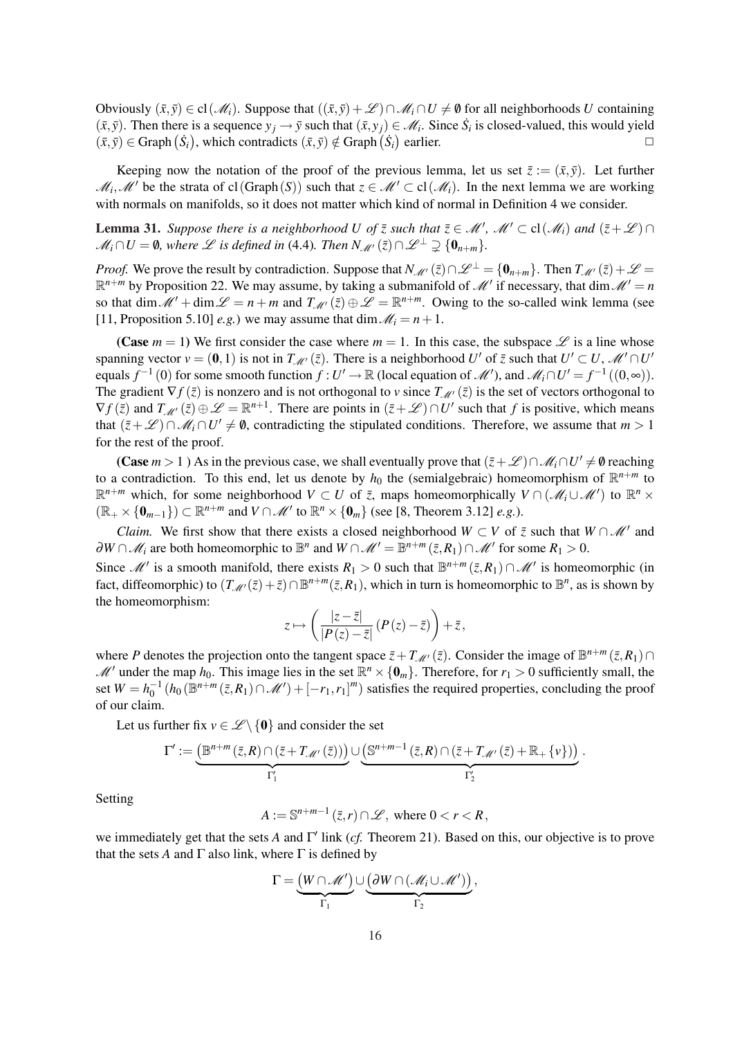Obviously  $(\bar{x}, \bar{y}) \in cl(\mathcal{M}_i)$ . Suppose that  $((\bar{x}, \bar{y}) + \mathcal{L}) \cap \mathcal{M}_i \cap U \neq \emptyset$  for all neighborhoods *U* containing  $(\bar{x}, \bar{y})$ . Then there is a sequence  $y_j \to \bar{y}$  such that  $(\bar{x}, y_j) \in \mathcal{M}_i$ . Since  $\dot{S}_i$  is closed-valued, this would yield  $(x, y)$ . Then there is a sequence  $y_j \to y$  such that  $(x, y_j) \in M_i$ . Since  $S_i$  is closed-valued, this would yield  $(\bar{x}, \bar{y}) \in \text{Graph}(\dot{S}_i)$ , which contradicts  $(\bar{x}, \bar{y}) \notin \text{Graph}(\dot{S}_i)$  earlier. <br> □

Keeping now the notation of the proof of the previous lemma, let us set  $\bar{z} := (\bar{x}, \bar{y})$ . Let further  $\mathcal{M}_i, \mathcal{M}'$  be the strata of cl(Graph(*S*)) such that  $z \in \mathcal{M}' \subset cl(\mathcal{M}_i)$ . In the next lemma we are working with normals on manifolds, so it does not matter which kind of normal in Definition 4 we consider.

**Lemma 31.** *Suppose there is a neighborhood U of*  $\bar{z}$  *such that*  $\bar{z} \in M'$ ,  $M' \subset cl(M_i)$  *and*  $(\bar{z} + \mathcal{L}) \cap$  $\mathcal{M}_i \cap U = \emptyset$ , where  $\mathcal{L}$  is defined in (4.4). Then  $N_{\mathcal{M}'}(\bar{z}) \cap \mathcal{L}^{\perp} \supseteq \{0_{n+m}\}.$ 

*Proof.* We prove the result by contradiction. Suppose that  $N_M(\overline{z}) \cap \mathscr{L}^{\perp} = \{0_{n+m}\}\$ . Then  $T_M(\overline{z}) + \mathscr{L} =$  $\mathbb{R}^{n+m}$  by Proposition 22. We may assume, by taking a submanifold of M' if necessary, that dim  $\mathcal{M}^{\prime}=n$ so that dim  $\mathcal{M}$  + dim  $\mathcal{L} = n + m$  and  $T_{\mathcal{M}'}(\bar{z}) \oplus \mathcal{L} = \mathbb{R}^{n+m}$ . Owing to the so-called wink lemma (see [11, Proposition 5.10] *e.g.*) we may assume that  $\dim M_i = n + 1$ .

(Case  $m = 1$ ) We first consider the case where  $m = 1$ . In this case, the subspace  $\mathscr L$  is a line whose spanning vector  $v = (0, 1)$  is not in  $T_M(v)$ . There is a neighborhood *U'* of  $\overline{z}$  such that  $U' \subset U$ ,  $\mathcal{M}' \cap U'$ equals  $f^{-1}(0)$  for some smooth function  $f: U' \to \mathbb{R}$  (local equation of  $\mathcal{M}'$ ), and  $\mathcal{M}_i \cap U' = f^{-1}((0, \infty))$ . The gradient  $\nabla f(\bar{z})$  is nonzero and is not orthogonal to *v* since  $T_M(\bar{z})$  is the set of vectors orthogonal to  $\nabla f(\bar{z})$  and  $T_M(\bar{z}) \oplus \mathscr{L} = \mathbb{R}^{n+1}$ . There are points in  $(\bar{z} + \mathscr{L}) \cap U'$  such that f is positive, which means that  $(\bar{z} + \mathcal{L}) \cap \mathcal{M}_i \cap U' \neq \emptyset$ , contradicting the stipulated conditions. Therefore, we assume that  $m > 1$ for the rest of the proof.

(Case  $m > 1$ ) As in the previous case, we shall eventually prove that  $(\bar{z} + \mathscr{L}) \cap \mathscr{M}_i \cap U' \neq \emptyset$  reaching to a contradiction. To this end, let us denote by  $h_0$  the (semialgebraic) homeomorphism of  $\mathbb{R}^{n+m}$  to  $\mathbb{R}^{n+m}$  which, for some neighborhood  $V \subset U$  of  $\bar{z}$ , maps homeomorphically  $V \cap (\mathcal{M}_i \cup \mathcal{M}')$  to  $\mathbb{R}^n \times$  $(\mathbb{R}_+ \times \{0_{m-1}\}) \subset \mathbb{R}^{n+m}$  and  $V \cap \mathcal{M}'$  to  $\mathbb{R}^n \times \{0_m\}$  (see [8, Theorem 3.12] *e.g.*).

*Claim.* We first show that there exists a closed neighborhood  $W \subset V$  of  $\overline{z}$  such that  $W \cap M'$  and  $∂W ∩ M<sub>i</sub>$  are both homeomorphic to  $\mathbb{B}^n$  and  $W ∩ M' = \mathbb{B}^{n+m} (\bar{z}, R_1) ∩ M'$  for some  $R_1 > 0$ .

Since  $\mathcal{M}'$  is a smooth manifold, there exists  $R_1 > 0$  such that  $\mathbb{B}^{n+m}(\bar{z}, R_1) \cap \mathcal{M}'$  is homeomorphic (in fact, diffeomorphic) to  $(T_{\mathcal{M}'}(\bar{z}) + \bar{z}) \cap \mathbb{B}^{n+m}(\bar{z}, R_1)$ , which in turn is homeomorphic to  $\mathbb{B}^n$ , as is shown by the homeomorphism:  $\overline{a}$  $\mathbf{r}$ 

$$
z \mapsto \left(\frac{|z-\bar{z}|}{|P(z)-\bar{z}|}\left(P(z)-\bar{z}\right)\right)+\bar{z},
$$

where *P* denotes the projection onto the tangent space  $\bar{z} + T_M(\bar{z})$ . Consider the image of  $\mathbb{B}^{n+m}(\bar{z}, R_1) \cap$  $\mathcal{M}'$  under the map  $h_0$ . This image lies in the set  $\mathbb{R}^n \times \{0_m\}$ . Therefore, for  $r_1 > 0$  sufficiently small, the set  $W = h_0^{-1} (h_0(\mathbb{B}^{n+m}(\bar{z}, R_1) \cap \mathcal{M}') + [-r_1, r_1]^m)$  satisfies the required properties, concluding the proof of our claim.

Let us further fix  $v \in \mathcal{L} \setminus \{0\}$  and consider the set

$$
\Gamma':=\underbrace{\left(\mathbb{B}^{n+m}\left(\bar{z},R\right)\cap\left(\bar{z}+T_{\mathscr{M}'}\left(\bar{z}\right)\right)\right)}_{\Gamma'_{1}}\cup\underbrace{\left(\mathbb{S}^{n+m-1}\left(\bar{z},R\right)\cap\left(\bar{z}+T_{\mathscr{M}'}\left(\bar{z}\right)+\mathbb{R}_{+}\left\{v\right\}\right)\right)}_{\Gamma'_{2}}
$$

.

Setting

$$
A := \mathbb{S}^{n+m-1}(\bar{z},r) \cap \mathscr{L}, \text{ where } 0 < r < R,
$$

we immediately get that the sets *A* and Γ' link (*cf.* Theorem 21). Based on this, our objective is to prove that the sets *A* and  $\Gamma$  also link, where  $\Gamma$  is defined by

$$
\Gamma = \underbrace{(W \cap \mathscr{M}')}_{\Gamma_1} \cup \underbrace{(\partial W \cap (\mathscr{M}_i \cup \mathscr{M}'))}_{\Gamma_2},
$$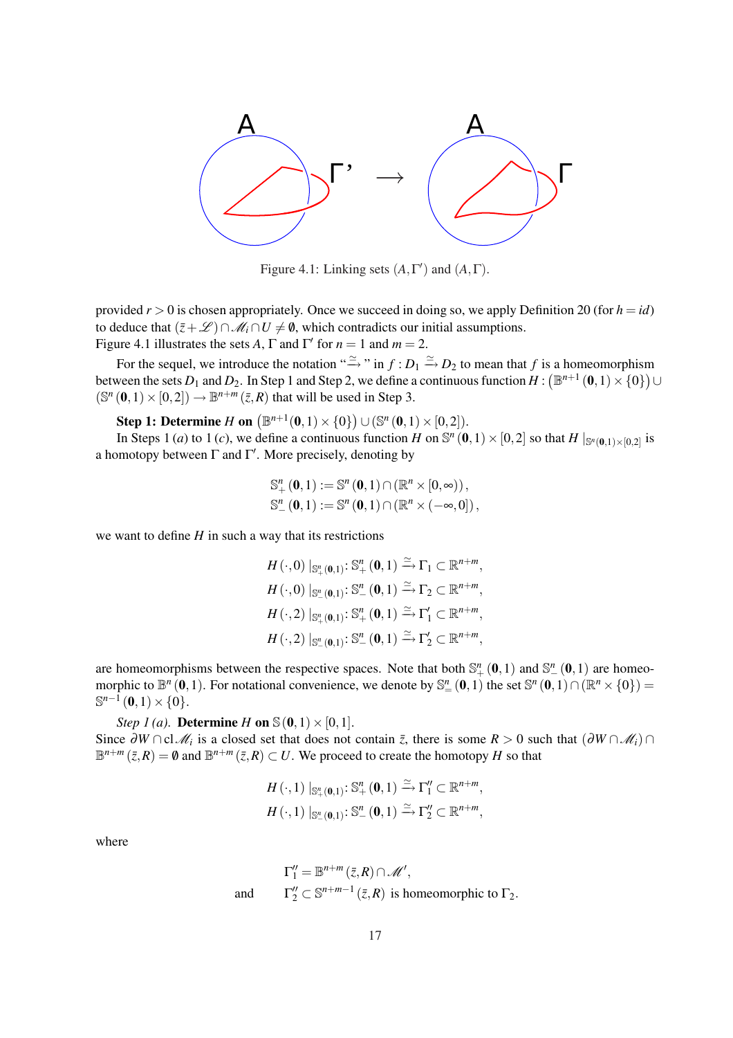

Figure 4.1: Linking sets  $(A, \Gamma')$  and  $(A, \Gamma)$ .

provided  $r > 0$  is chosen appropriately. Once we succeed in doing so, we apply Definition 20 (for  $h = id$ ) to deduce that  $(\bar{z} + \mathcal{L}) \cap \mathcal{M}_i \cap U \neq \emptyset$ , which contradicts our initial assumptions. Figure 4.1 illustrates the sets *A*,  $\Gamma$  and  $\Gamma'$  for  $n = 1$  and  $m = 2$ .

For the sequel, we introduce the notation " $\stackrel{\simeq}{\longrightarrow}$ " in  $f: D_1 \stackrel{\simeq}{\longrightarrow} D_2$  to mean that  $f$  is a homeomorphism between the sets  $D_1$  and  $D_2.$  In Step 1 and Step 2, we define a continuous function  $H$  :  $\big(\mathbb{B}^{n+1}\left(0,1\right)\times\{0\}\big)$   $\cup$  $(\mathbb{S}^n(0,1) \times [0,2]) \to \mathbb{B}^{n+m}(\bar{z},R)$  that will be used in Step 3.

**Step 1: Determine** *H* on  $(\mathbb{B}^{n+1}(0,1) \times \{0\})$ ¢  $\cup$  ( $\mathbb{S}^n$  (**0**, 1)  $\times$  [0, 2]).

In Steps 1 (*a*) to 1 (*c*), we define a continuous function *H* on  $\mathbb{S}^n(0,1) \times [0,2]$  so that *H*  $|_{\mathbb{S}^n(0,1) \times [0,2]}$  is a homotopy between  $\Gamma$  and  $\Gamma'$ . More precisely, denoting by

$$
\mathbb{S}^n_+\left(0,1\right):=\mathbb{S}^n\left(0,1\right)\cap\left(\mathbb{R}^n\times\left[0,\infty\right)\right),\newline\mathbb{S}^n_-\left(0,1\right):=\mathbb{S}^n\left(0,1\right)\cap\left(\mathbb{R}^n\times\left(-\infty,0\right]\right),\newline
$$

we want to define *H* in such a way that its restrictions

 $H\left(\cdot,0\right)|_{\mathbb{S}^{n}_{+}(\mathbf{0},1)}:\mathbb{S}^{n}_{+}(\mathbf{0},1) \xrightarrow{\simeq} \Gamma_{1} \subset \mathbb{R}^{n+m},$  $H\left(\cdot,0\right)|_{\mathbb{S}^n_-(0,1)}:\mathbb{S}^n_-\left(0,1\right)\xrightarrow{\simeq}\Gamma_2\subset\mathbb{R}^{n+m},$  $H\left(\cdot,2\right)|_{\mathbb{S}^{n}_{+}(\mathbf{0},1)}:\mathbb{S}^{n}_{+}(\mathbf{0},1)\xrightarrow{\simeq}\Gamma'_{1}\subset\mathbb{R}^{n+m},$  $H\left(\cdot,2\right)|_{\mathbb{S}_{-}^{n}\left(0,1\right)}:\mathbb{S}_{-}^{n}\left(0,1\right)\xrightarrow{\simeq}\Gamma_{2}^{\prime}\subset\mathbb{R}^{n+m},$ 

are homeomorphisms between the respective spaces. Note that both  $\mathbb{S}^n_+$  (0, 1) and  $\mathbb{S}^n_-$  (0, 1) are homeomorphic to  $\mathbb{B}^n(0,1)$ . For notational convenience, we denote by  $\mathbb{S}^n_-(0,1)$  the set  $\mathbb{S}^n(0,1)\cap(\mathbb{R}^n\times\{0\})=$  $\mathbb{S}^{n-1}(0,1)\times\{0\}.$ 

*Step 1 (a)*. **Determine** *H* on  $\mathcal{S}(0,1) \times [0,1]$ . Since  $\partial W \cap cl \mathcal{M}_i$  is a closed set that does not contain  $\bar{z}$ , there is some  $R > 0$  such that  $(\partial W \cap \mathcal{M}_i) \cap$  $\mathbb{B}^{n+m}(\bar{z},R) = \emptyset$  and  $\mathbb{B}^{n+m}(\bar{z},R) \subset U$ . We proceed to create the homotopy *H* so that

$$
H(\cdot,1) \mid_{\mathbb{S}_+^n(\mathbf{0},1)} : \mathbb{S}_+^n(\mathbf{0},1) \xrightarrow{\simeq} \Gamma_1'' \subset \mathbb{R}^{n+m},
$$
  

$$
H(\cdot,1) \mid_{\mathbb{S}_-^n(\mathbf{0},1)} : \mathbb{S}_-^n(\mathbf{0},1) \xrightarrow{\simeq} \Gamma_2'' \subset \mathbb{R}^{n+m},
$$

where

$$
\Gamma_1'' = \mathbb{B}^{n+m}(\bar{z}, R) \cap \mathcal{M}',
$$
  
and 
$$
\Gamma_2'' \subset \mathbb{S}^{n+m-1}(\bar{z}, R) \text{ is homeomorphic to } \Gamma_2.
$$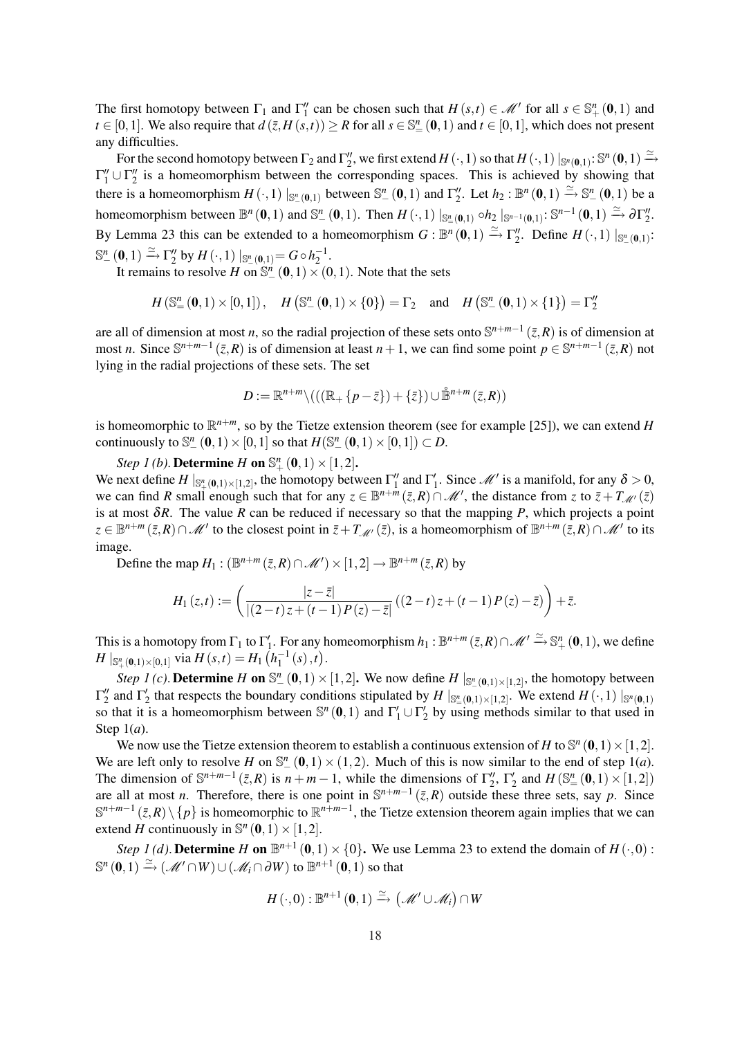The first homotopy between  $\Gamma_1$  and  $\Gamma''_1$  can be chosen such that  $H(s,t) \in \mathcal{M}'$  for all  $s \in \mathbb{S}^n_+(0,1)$  and  $t \in [0,1]$ . We also require that  $d(\bar{z}, H(s,t)) \ge R$  for all  $s \in \mathbb{S}^n_=(0,1)$  and  $t \in [0,1]$ , which does not present any difficulties.

For the second homotopy between  $\Gamma_2$  and  $\Gamma''_2$ , we first extend  $H\left(\cdot,1\right)$  so that  $H\left(\cdot,1\right)|_{\mathbb{S}^n\left({\bf 0},1\right)}\stackrel{\simeq}{\to}$  $\Gamma''_1 \cup \Gamma''_2$  is a homeomorphism between the corresponding spaces. This is achieved by showing that there is a homeomorphism  $H(\cdot,1) \mid_{\mathbb{S}_{-}^{n}(0,1)}$  between  $\mathbb{S}_{-}^{n}(0,1)$  and  $\Gamma''_2$ . Let  $h_2 : \mathbb{B}^n(0,1) \xrightarrow{\simeq} \mathbb{S}_{-}^n(0,1)$  be a homeomorphism between  $\mathbb{B}^n(\mathbf{0},1)$  and  $\mathbb{S}^n_-(\mathbf{0},1)$ . Then  $H(\cdot,1) \mid_{\mathbb{S}^n_-(\mathbf{0},1)} \circ h_2 \mid_{\mathbb{S}^{n-1}(\mathbf{0},1)} : \mathbb{S}^{n-1}(\mathbf{0},1) \xrightarrow{\simeq} \partial \Gamma_2''$ . By Lemma 23 this can be extended to a homeomorphism  $G : \mathbb{B}^n(\mathbf{0},1) \xrightarrow{\simeq} \Gamma''_2$ . Define  $H(\cdot,1) |_{\mathbb{S}^n_{-}(\mathbf{0},1)}$ :  $\mathbb{S}^n_-\left(\mathbf{0},1\right)\xrightarrow{\simeq}\Gamma''_2\text{ by }H\left(\cdot,1\right)|_{\mathbb{S}^n_-\left(\mathbf{0},1\right)}=G\circ h_2^{-1}.$ 

It remains to resolve *H* on  $\mathbb{S}^n_-(0,1) \times (0,1)$ . Note that the sets

$$
H\left(\mathbb{S}^n_=(0,1)\times[0,1]\right),\quad H\left(\mathbb{S}^n_-(0,1)\times\{0\}\right)=\Gamma_2\quad\text{and}\quad H\left(\mathbb{S}^n_-(0,1)\times\{1\}\right)=\Gamma_2''
$$

are all of dimension at most *n*, so the radial projection of these sets onto  $\mathbb{S}^{n+m-1}(\bar{z},R)$  is of dimension at most *n*. Since  $\mathbb{S}^{n+m-1}(\bar{z},R)$  is of dimension at least  $n+1$ , we can find some point  $p \in \mathbb{S}^{n+m-1}(\bar{z},R)$  not lying in the radial projections of these sets. The set

$$
D := \mathbb{R}^{n+m} \setminus ((\mathbb{R} \setminus \{p-\bar{z}\}) + \{\bar{z}\}) \cup \mathring{\mathbb{B}}^{n+m}(\bar{z},R))
$$

is homeomorphic to  $\mathbb{R}^{n+m}$ , so by the Tietze extension theorem (see for example [25]), we can extend *H* continuously to  $\mathbb{S}^n_-(0,1) \times [0,1]$  so that  $H(\mathbb{S}^n_-(0,1) \times [0,1]) \subset D$ .

*Step 1* (*b*). Determine *H* on  $\mathbb{S}^n_+$  (0, 1)  $\times$  [1, 2].

We next define  $H\vert_{\mathbb{S}_+^n(0,1)\times[1,2]}$ , the homotopy between  $\Gamma''_1$  and  $\Gamma'_1$ . Since  $\mathcal{M}'$  is a manifold, for any  $\delta > 0$ , we can find *R* small enough such that for any  $z \in \mathbb{B}^{n+m}(\bar{z}, R) \cap \mathcal{M}'$ , the distance from *z* to  $\bar{z} + T_{\mathcal{M}'}(\bar{z})$ is at most  $\delta R$ . The value  $R$  can be reduced if necessary so that the mapping  $P$ , which projects a point  $z \in \mathbb{B}^{n+m}(\bar{z}, R) \cap \mathcal{M}'$  to the closest point in  $\bar{z} + T_{\mathcal{M}'}(\bar{z})$ , is a homeomorphism of  $\mathbb{B}^{n+m}(\bar{z}, R) \cap \mathcal{M}'$  to its image.

Define the map  $H_1: (\mathbb{B}^{n+m}(\bar{z},R) \cap \mathcal{M}') \times [1,2] \to \mathbb{B}^{n+m}(\bar{z},R)$  by

$$
H_1(z,t) := \left(\frac{|z-\bar{z}|}{|(2-t)z+(t-1)P(z)-\bar{z}|}((2-t)z+(t-1)P(z)-\bar{z})\right)+\bar{z}.
$$

This is a homotopy from  $\Gamma_1$  to  $\Gamma'_1$ . For any homeomorphism  $h_1 : \mathbb{B}^{n+m}(\bar{z},R) \cap \mathcal{M}' \xrightarrow{\simeq} \mathbb{S}^n_+(0,1)$ , we define  $H \mid_{\mathbb{S}^{n}_{+}(\mathbf{0},1) \times [0,1]} \text{ via } H(s,t) = H_{1} \left( h_{1}^{-1} \left( s \right), t \right).$ 

*Step 1 (c)*. **Determine** *H* on  $\mathbb{S}^n_-(0,1) \times [1,2]$ . We now define *H*  $|_{\mathbb{S}^n_-(0,1) \times [1,2]}$ , the homotopy between  $\Gamma''_2$  and  $\Gamma'_2$  that respects the boundary conditions stipulated by  $H|_{\mathbb{S}^n_-(0,1)\times[1,2]}$ . We extend  $H(\cdot,1)|_{\mathbb{S}^n(0,1)}$ so that it is a homeomorphism between  $\mathbb{S}^n(0,1)$  and  $\Gamma'_1 \cup \Gamma'_2$  by using methods similar to that used in Step 1(*a*).

We now use the Tietze extension theorem to establish a continuous extension of *H* to  $\mathbb{S}^n(0,1) \times [1,2]$ . We are left only to resolve *H* on  $\mathbb{S}^n_-(0,1) \times (1,2)$ . Much of this is now similar to the end of step 1(*a*). The dimension of  $\mathbb{S}^{n+m-1}(\bar{z},R)$  is  $n+m-1$ , while the dimensions of  $\Gamma''_2$ ,  $\Gamma'_2$  and  $H(\mathbb{S}^n_-(0,1)\times[1,2])$ are all at most *n*. Therefore, there is one point in  $\mathbb{S}^{n+m-1}(\bar{z},R)$  outside these three sets, say *p*. Since  $\mathbb{S}^{n+m-1}(\bar{z},R)\setminus\{p\}$  is homeomorphic to  $\mathbb{R}^{n+m-1}$ , the Tietze extension theorem again implies that we can extend *H* continuously in  $\mathbb{S}^n$  (0, 1)  $\times$  [1, 2].

*Step 1 (d)*. **Determine** *H* on  $\mathbb{B}^{n+1}$  (0,1)  $\times$  {0}. We use Lemma 23 to extend the domain of  $H(\cdot,0)$ :  $\mathbb{S}^n\left(\mathbf{0},1\right)\xrightarrow{\simeq} (\mathscr{M}'\cap W)\cup (\mathscr{M}_i\cap \partial W)$  to  $\mathbb{B}^{n+1}\left(\mathbf{0},1\right)$  so that

$$
H(\cdot,0): \mathbb{B}^{n+1}(0,1) \xrightarrow{\simeq} (\mathscr{M}' \cup \mathscr{M}_i) \cap W
$$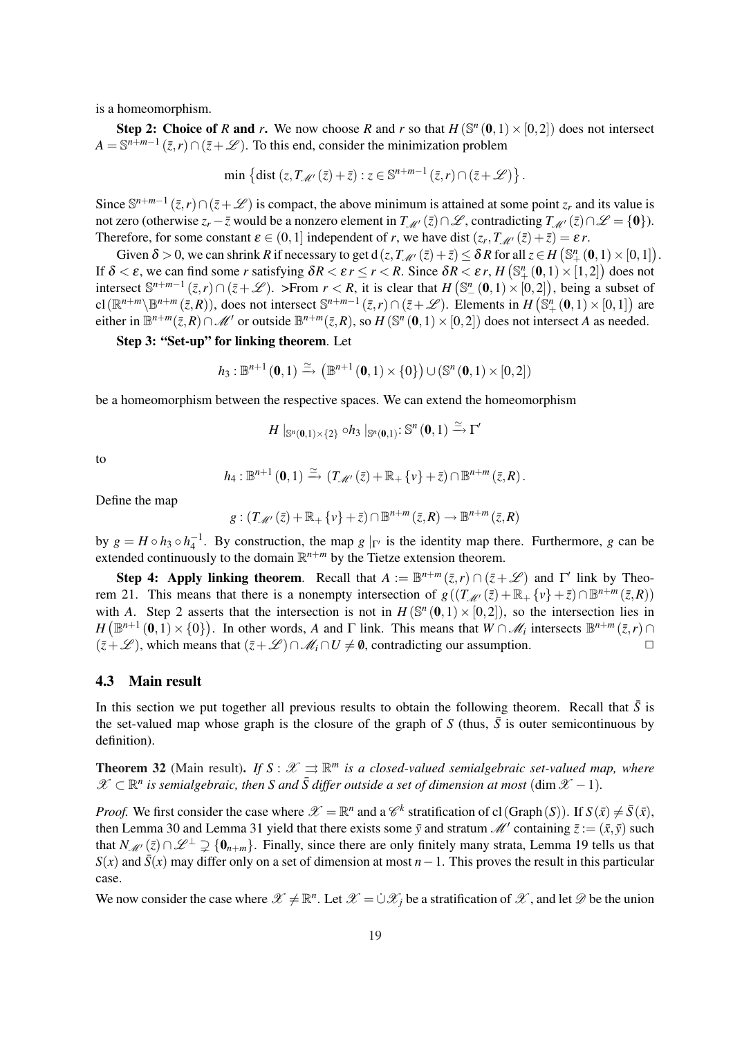is a homeomorphism.

**Step 2: Choice of** *R* **and** *r***.** We now choose *R* and *r* so that  $H(\mathbb{S}^n(0,1) \times [0,2])$  does not intersect  $A = \mathbb{S}^{n+m-1}(\bar{z}, r) \cap (\bar{z} + \mathscr{L})$ . To this end, consider the minimization problem

$$
\min\left\{\text{dist}\left(z,T_{\mathcal{M}'}(\bar{z})+\bar{z}\right):z\in\mathbb{S}^{n+m-1}\left(\bar{z},r\right)\cap\left(\bar{z}+\mathcal{L}\right)\right\}.
$$

Since  $\mathbb{S}^{n+m-1}(\bar{z},r) \cap (\bar{z}+\mathscr{L})$  is compact, the above minimum is attained at some point  $z_r$  and its value is not zero (otherwise  $z_r - \overline{z}$  would be a nonzero element in  $T_M(\overline{z}) \cap \mathscr{L}$ , contradicting  $T_M(\overline{z}) \cap \mathscr{L} = \{0\}$ ). Therefore, for some constant  $\varepsilon \in (0,1]$  independent of *r*, we have dist  $(z_r, T_M(iz) + \overline{z}) = \varepsilon r$ . ¢

Given  $\delta > 0$ , we can shrink R if necessary to get  $d(z, T_M(z) + \bar{z}) \leq \delta R$  for all  $z \in H$  ( $\mathbb{S}^n_+$  (0, 1) × [0, 1] r all  $z \in H$   $(\mathbb{S}^n_+(\mathbf{0},1) \times [0,1])$ . If  $\delta < \varepsilon$ , we can find some *r* satisfying  $\delta R < \varepsilon r \le r < R$ . Since  $\delta R < \varepsilon r$ ,  $H\left(\mathbb{S}_{+}^{n}(0,1) \times [1,2]\right)$  does not intersect  $\mathbb{S}^{n+m-1}(\bar{z},r) \cap (\bar{z}+\mathscr{L})$ . >From  $r < R$ , it is clear that  $H(\mathbb{S}^n_-(0,1) \times [0,2])$ , being a subset of cl( $\mathbb{R}^{n+m}\setminus\mathbb{B}^{n+m}(\bar{z},R)$ ), does not intersect  $\mathbb{S}^{n+m-1}(\bar{z},r)\cap(\bar{z}+\mathscr{L})$ . Elements in  $H\left(\mathbb{S}^{n}_{+}(\mathbf{0},1)\times[0,1]\right)$  are either in  $\mathbb{B}^{n+m}(\bar{z},R) \cap \mathcal{M}'$  or outside  $\mathbb{B}^{n+m}(\bar{z},R)$ , so  $H(\mathbb{S}^n(0,1) \times [0,2])$  does not intersect *A* as needed.

Step 3: "Set-up" for linking theorem. Let

$$
h_3: \mathbb{B}^{n+1}(0,1) \xrightarrow{\simeq} (\mathbb{B}^{n+1}(0,1) \times \{0\}) \cup (\mathbb{S}^n(0,1) \times [0,2])
$$

be a homeomorphism between the respective spaces. We can extend the homeomorphism

$$
H\mid_{\mathbb{S}^{n}(0,1)\times\{2\}} \circ h_{3}\mid_{\mathbb{S}^{n}(0,1)}:\mathbb{S}^{n}(0,1)\xrightarrow{\simeq}\Gamma'
$$

to

$$
h_4: \mathbb{B}^{n+1}(0,1) \xrightarrow{\simeq} (T_{\mathcal{M}'}(\bar{z}) + \mathbb{R}_+ \{v\} + \bar{z}) \cap \mathbb{B}^{n+m}(\bar{z},R).
$$

Define the map

$$
g: (T_{\mathcal{M}'}(\bar{z}) + \mathbb{R}_+ \{v\} + \bar{z}) \cap \mathbb{B}^{n+m}(\bar{z}, R) \to \mathbb{B}^{n+m}(\bar{z}, R)
$$

by  $g = H \circ h_3 \circ h_4^{-1}$ . By construction, the map  $g \vert_{\Gamma'}$  is the identity map there. Furthermore,  $g$  can be extended continuously to the domain  $\mathbb{R}^{n+m}$  by the Tietze extension theorem.

Step 4: Apply linking theorem. Recall that  $A := \mathbb{B}^{n+m}(\bar{z}, r) \cap (\bar{z} + \mathscr{L})$  and  $\Gamma'$  link by Theorem 21. This means that there is a nonempty intersection of  $g((T_{\mathcal{M}'}(\bar{z}) + \mathbb{R}_+ \{v\} + \bar{z}) \cap \mathbb{B}^{n+m}(\bar{z}, R))$ with *A*. Step 2 asserts that the intersection is not in  $H(\mathbb{S}^n(0,1)\times[0,2])$ , so the intersection lies in  $H(\mathbb{B}^{n+1}(0,1) \times \{0\})$ . In other words, *A* and Γ link. This means that  $W \cap M_i$  intersects  $\mathbb{B}^{n+m}(\bar{z},r) \cap M_i$  $(\bar{z} + \mathcal{L})$ , which means that  $(\bar{z} + \mathcal{L}) \cap \mathcal{M}_i \cap U \neq \emptyset$ , contradicting our assumption. □

#### 4.3 Main result

In this section we put together all previous results to obtain the following theorem. Recall that  $\bar{S}$  is the set-valued map whose graph is the closure of the graph of *S* (thus,  $\bar{S}$  is outer semicontinuous by definition).

**Theorem 32** (Main result). If  $S : \mathcal{X} \rightrightarrows \mathbb{R}^m$  is a closed-valued semialgebraic set-valued map, where  $\mathscr{X} \subset \mathbb{R}^n$  is semialgebraic, then *S* and *S* differ outside a set of dimension at most (dim  $\mathscr{X}$  − 1).

*Proof.* We first consider the case where  $\mathcal{X} = \mathbb{R}^n$  and a  $\mathcal{C}^k$  stratification of cl(Graph(*S*)). If  $S(\bar{x}) \neq \bar{S}(\bar{x})$ , then Lemma 30 and Lemma 31 yield that there exists some  $\bar{y}$  and stratum  $\mathcal{M}'$  containing  $\bar{z} := (\bar{x}, \bar{y})$  such that  $N_{\mathcal{M}'}(\bar{z}) \cap \mathcal{L}^{\perp} \supsetneq \{0_{n+m}\}.$  Finally, since there are only finitely many strata, Lemma 19 tells us that  $S(x)$  and  $\overline{S}(x)$  may differ only on a set of dimension at most *n*−1. This proves the result in this particular case.

We now consider the case where  $\mathscr{X} \neq \mathbb{R}^n$ . Let  $\mathscr{X} = \cup \mathscr{X}_j$  be a stratification of  $\mathscr{X}$ , and let  $\mathscr{D}$  be the union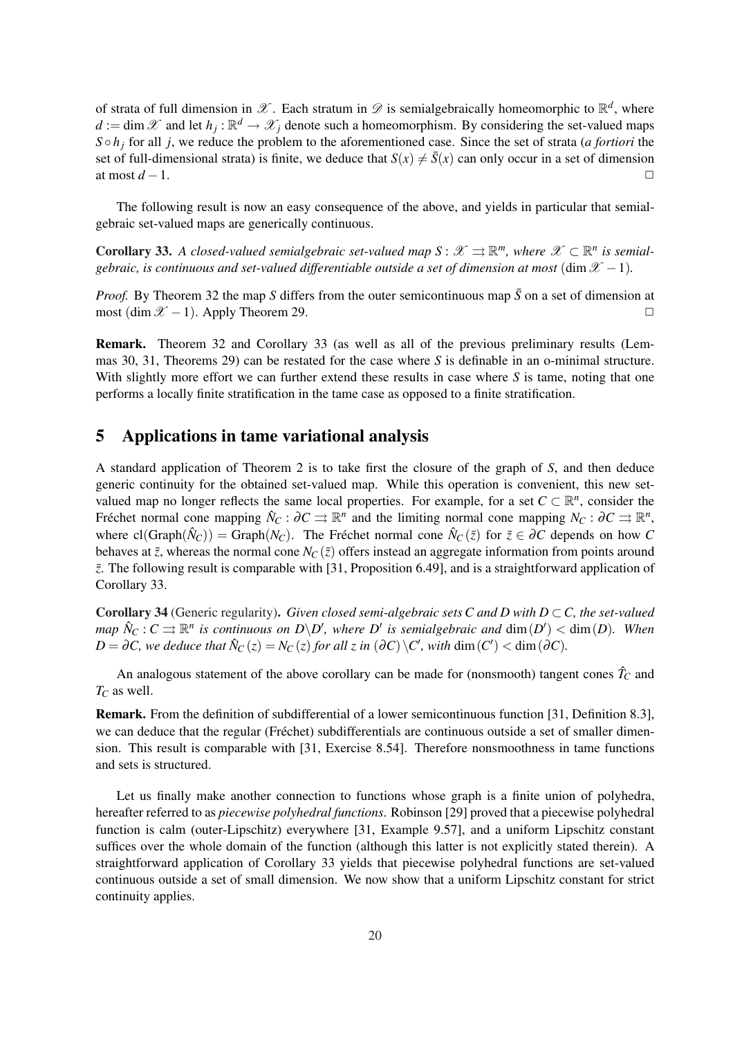of strata of full dimension in  $\mathscr X$ . Each stratum in  $\mathscr D$  is semialgebraically homeomorphic to  $\mathbb R^d$ , where  $d := \dim \mathscr{X}$  and let  $h_j : \mathbb{R}^d \to \mathscr{X}_j$  denote such a homeomorphism. By considering the set-valued maps  $S \circ h_i$  for all *j*, we reduce the problem to the aforementioned case. Since the set of strata (*a fortiori* the set of full-dimensional strata) is finite, we deduce that  $S(x) \neq \overline{S}(x)$  can only occur in a set of dimension at most  $d-1$ .  $□$ 

The following result is now an easy consequence of the above, and yields in particular that semialgebraic set-valued maps are generically continuous.

**Corollary 33.** A closed-valued semialgebraic set-valued map  $S: \mathcal{X} \implies \mathbb{R}^m$ , where  $\mathcal{X} \subset \mathbb{R}^n$  is semial*gebraic, is continuous and set-valued differentiable outside a set of dimension at most* (dim  $\mathcal{X}$  − 1).

*Proof.* By Theorem 32 the map *S* differs from the outer semicontinuous map  $\bar{S}$  on a set of dimension at most (dim  $\mathcal{X}$  −1). Apply Theorem 29.  $\Box$ 

Remark. Theorem 32 and Corollary 33 (as well as all of the previous preliminary results (Lemmas 30, 31, Theorems 29) can be restated for the case where *S* is definable in an o-minimal structure. With slightly more effort we can further extend these results in case where *S* is tame, noting that one performs a locally finite stratification in the tame case as opposed to a finite stratification.

### 5 Applications in tame variational analysis

A standard application of Theorem 2 is to take first the closure of the graph of *S*, and then deduce generic continuity for the obtained set-valued map. While this operation is convenient, this new setvalued map no longer reflects the same local properties. For example, for a set  $C \subset \mathbb{R}^n$ , consider the Fréchet normal cone mapping  $\hat{N}_C: \partial C \rightrightarrows \mathbb{R}^n$  and the limiting normal cone mapping  $N_C: \partial C \rightrightarrows \mathbb{R}^n$ , where  $cl(Graph(\hat{N}_C)) = Graph(N_C)$ . The Fréchet normal cone  $\hat{N}_C(\bar{z})$  for  $\bar{z} \in \partial C$  depends on how C behaves at  $\bar{z}$ , whereas the normal cone  $N_C(\bar{z})$  offers instead an aggregate information from points around  $\bar{z}$ . The following result is comparable with [31, Proposition 6.49], and is a straightforward application of Corollary 33.

Corollary 34 (Generic regularity). *Given closed semi-algebraic sets C and D with D* ⊂*C, the set-valued map*  $\hat{N}_C$  :  $C \rightrightarrows \mathbb{R}^n$  is continuous on  $D \backslash D'$ , where  $D'$  is semialgebraic and  $\dim(D') < \dim(D)$ . When  $D = \partial C$ , we deduce that  $\hat{N}_C(z) = N_C(z)$  for all *z* in  $(\partial C) \setminus C'$ , with  $\dim(C') < \dim(\partial C)$ .

An analogous statement of the above corollary can be made for (nonsmooth) tangent cones  $\hat{T}_C$  and *T<sup>C</sup>* as well.

Remark. From the definition of subdifferential of a lower semicontinuous function [31, Definition 8.3], we can deduce that the regular (Fréchet) subdifferentials are continuous outside a set of smaller dimension. This result is comparable with [31, Exercise 8.54]. Therefore nonsmoothness in tame functions and sets is structured.

Let us finally make another connection to functions whose graph is a finite union of polyhedra, hereafter referred to as *piecewise polyhedral functions*. Robinson [29] proved that a piecewise polyhedral function is calm (outer-Lipschitz) everywhere [31, Example 9.57], and a uniform Lipschitz constant suffices over the whole domain of the function (although this latter is not explicitly stated therein). A straightforward application of Corollary 33 yields that piecewise polyhedral functions are set-valued continuous outside a set of small dimension. We now show that a uniform Lipschitz constant for strict continuity applies.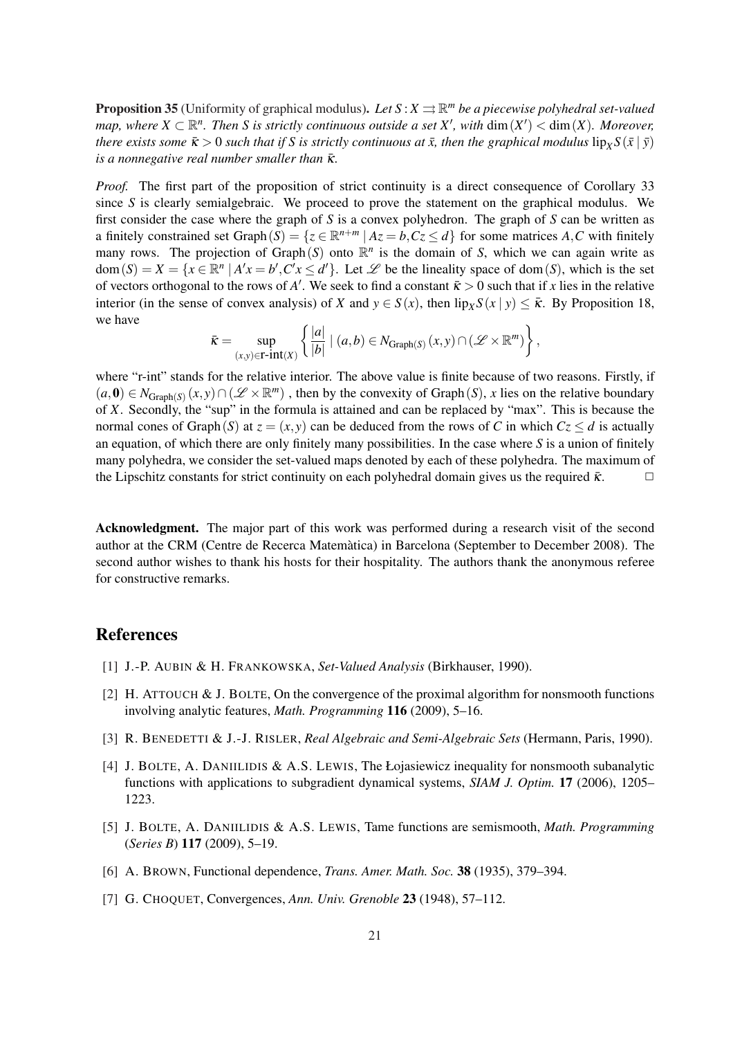**Proposition 35** (Uniformity of graphical modulus). Let  $S: X \rightrightarrows \mathbb{R}^m$  be a piecewise polyhedral set-valued *map, where*  $X$  ⊂  $\mathbb{R}^n$ *. Then S* is strictly continuous outside a set  $X'$ , with dim $(X')$  < dim $(X)$ *. Moreover, there exists some*  $\bar{\kappa} > 0$  *such that if S is strictly continuous at*  $\bar{x}$ *, then the graphical modulus*  $\text{lip}_X S(\bar{x} \mid \bar{y})$ *is a nonnegative real number smaller than*  $\bar{\bf k}$ *.* 

*Proof.* The first part of the proposition of strict continuity is a direct consequence of Corollary 33 since *S* is clearly semialgebraic. We proceed to prove the statement on the graphical modulus. We first consider the case where the graph of *S* is a convex polyhedron. The graph of *S* can be written as a finitely constrained set Graph $(S) = \{z \in \mathbb{R}^{n+m} \mid Az = b, Cz \leq d\}$  for some matrices *A*, *C* with finitely many rows. The projection of Graph(*S*) onto  $\mathbb{R}^n$  is the domain of *S*, which we can again write as  $dom(S) = X = \{x \in \mathbb{R}^n \mid A'x = b', C'x \le d'\}.$  Let  $\mathcal{L}$  be the lineality space of dom(*S*), which is the set of vectors orthogonal to the rows of *A'*. We seek to find a constant  $\bar{k} > 0$  such that if *x* lies in the relative interior (in the sense of convex analysis) of *X* and  $y \in S(x)$ , then  $\lim_{x \to S} S(x | y) \leq \bar{\kappa}$ . By Proposition 18, we have ½  $\mathbf{v}$ 

$$
\bar{\kappa} = \sup_{(x,y)\in \mathbf{r}\text{-}\mathbf{int}(X)} \left\{ \frac{|a|}{|b|} \mid (a,b) \in N_{\text{Graph}(S)} (x,y) \cap (\mathscr{L} \times \mathbb{R}^m) \right\},\,
$$

where "r-int" stands for the relative interior. The above value is finite because of two reasons. Firstly, if  $(a, 0) \in N_{Graph(S)}(x, y) \cap (\mathscr{L} \times \mathbb{R}^m)$ , then by the convexity of Graph(*S*), *x* lies on the relative boundary of *X*. Secondly, the "sup" in the formula is attained and can be replaced by "max". This is because the normal cones of Graph(*S*) at  $z = (x, y)$  can be deduced from the rows of *C* in which  $Cz \le d$  is actually an equation, of which there are only finitely many possibilities. In the case where *S* is a union of finitely many polyhedra, we consider the set-valued maps denoted by each of these polyhedra. The maximum of the Lipschitz constants for strict continuity on each polyhedral domain gives us the required  $\bar{\kappa}$ .  $\Box$ 

Acknowledgment. The major part of this work was performed during a research visit of the second author at the CRM (Centre de Recerca Matemàtica) in Barcelona (September to December 2008). The second author wishes to thank his hosts for their hospitality. The authors thank the anonymous referee for constructive remarks.

# References

- [1] J.-P. AUBIN & H. FRANKOWSKA, *Set-Valued Analysis* (Birkhauser, 1990).
- [2] H. ATTOUCH  $&$  J. BOLTE, On the convergence of the proximal algorithm for nonsmooth functions involving analytic features, *Math. Programming* 116 (2009), 5–16.
- [3] R. BENEDETTI & J.-J. RISLER, *Real Algebraic and Semi-Algebraic Sets* (Hermann, Paris, 1990).
- [4] J. BOLTE, A. DANIILIDIS & A.S. LEWIS, The Łojasiewicz inequality for nonsmooth subanalytic functions with applications to subgradient dynamical systems, *SIAM J. Optim.* 17 (2006), 1205– 1223.
- [5] J. BOLTE, A. DANIILIDIS & A.S. LEWIS, Tame functions are semismooth, *Math. Programming* (*Series B*) 117 (2009), 5–19.
- [6] A. BROWN, Functional dependence, *Trans. Amer. Math. Soc.* 38 (1935), 379–394.
- [7] G. CHOQUET, Convergences, *Ann. Univ. Grenoble* 23 (1948), 57–112.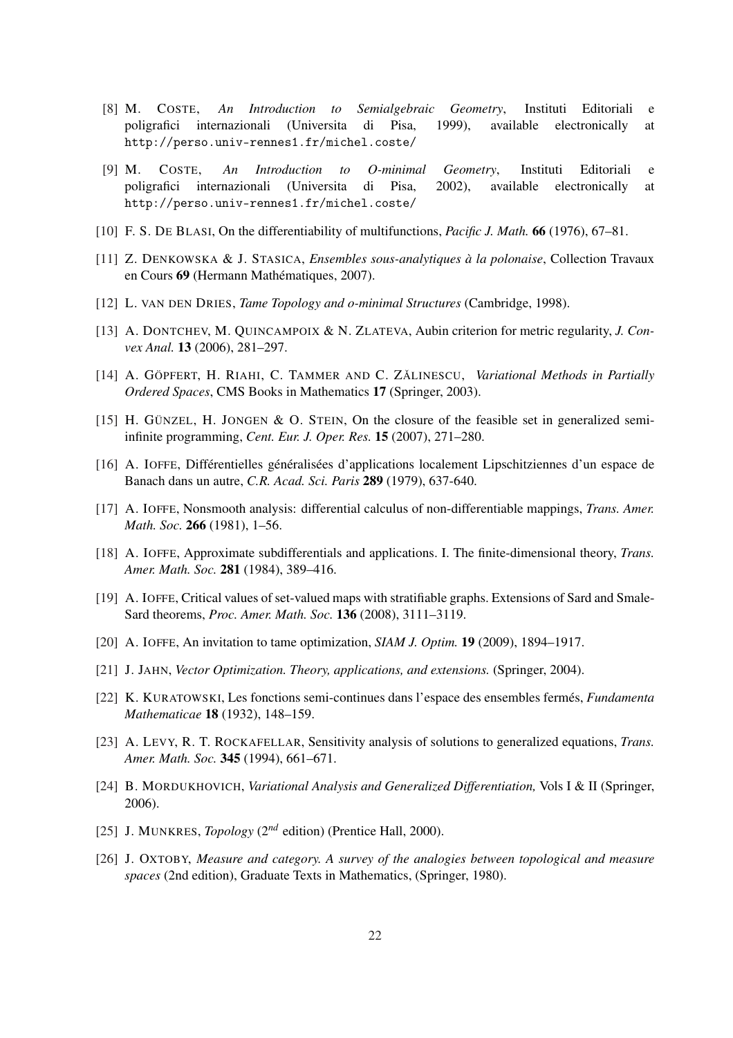- [8] M. COSTE, *An Introduction to Semialgebraic Geometry*, Instituti Editoriali e poligrafici internazionali (Universita di Pisa, 1999), available electronically at http://perso.univ-rennes1.fr/michel.coste/
- [9] M. COSTE, *An Introduction to O-minimal Geometry*, Instituti Editoriali e poligrafici internazionali (Universita di Pisa, 2002), available electronically at http://perso.univ-rennes1.fr/michel.coste/
- [10] F. S. DE BLASI, On the differentiability of multifunctions, *Pacific J. Math.* 66 (1976), 67–81.
- [11] Z. DENKOWSKA & J. STASICA, *Ensembles sous-analytiques à la polonaise*, Collection Travaux en Cours 69 (Hermann Mathématiques, 2007).
- [12] L. VAN DEN DRIES, *Tame Topology and o-minimal Structures* (Cambridge, 1998).
- [13] A. DONTCHEV, M. QUINCAMPOIX & N. ZLATEVA, Aubin criterion for metric regularity, *J. Convex Anal.* 13 (2006), 281–297.
- [14] A. GÖPFERT, H. RIAHI, C. TAMMER AND C. ZĂLINESCU, Variational Methods in Partially *Ordered Spaces*, CMS Books in Mathematics 17 (Springer, 2003).
- [15] H. GÜNZEL, H. JONGEN & O. STEIN, On the closure of the feasible set in generalized semiinfinite programming, *Cent. Eur. J. Oper. Res.* 15 (2007), 271–280.
- [16] A. IOFFE, Différentielles généralisées d'applications localement Lipschitziennes d'un espace de Banach dans un autre, *C.R. Acad. Sci. Paris* 289 (1979), 637-640.
- [17] A. IOFFE, Nonsmooth analysis: differential calculus of non-differentiable mappings, *Trans. Amer. Math. Soc.* 266 (1981), 1–56.
- [18] A. IOFFE, Approximate subdifferentials and applications. I. The finite-dimensional theory, *Trans. Amer. Math. Soc.* 281 (1984), 389–416.
- [19] A. IOFFE, Critical values of set-valued maps with stratifiable graphs. Extensions of Sard and Smale-Sard theorems, *Proc. Amer. Math. Soc.* 136 (2008), 3111–3119.
- [20] A. IOFFE, An invitation to tame optimization, *SIAM J. Optim.* 19 (2009), 1894–1917.
- [21] J. JAHN, *Vector Optimization. Theory, applications, and extensions.* (Springer, 2004).
- [22] K. KURATOWSKI, Les fonctions semi-continues dans l'espace des ensembles fermés, *Fundamenta Mathematicae* 18 (1932), 148–159.
- [23] A. LEVY, R. T. ROCKAFELLAR, Sensitivity analysis of solutions to generalized equations, *Trans. Amer. Math. Soc.* 345 (1994), 661–671.
- [24] B. MORDUKHOVICH, *Variational Analysis and Generalized Differentiation,* Vols I & II (Springer, 2006).
- [25] J. MUNKRES, *Topology* (2*nd* edition) (Prentice Hall, 2000).
- [26] J. OXTOBY, *Measure and category. A survey of the analogies between topological and measure spaces* (2nd edition), Graduate Texts in Mathematics, (Springer, 1980).